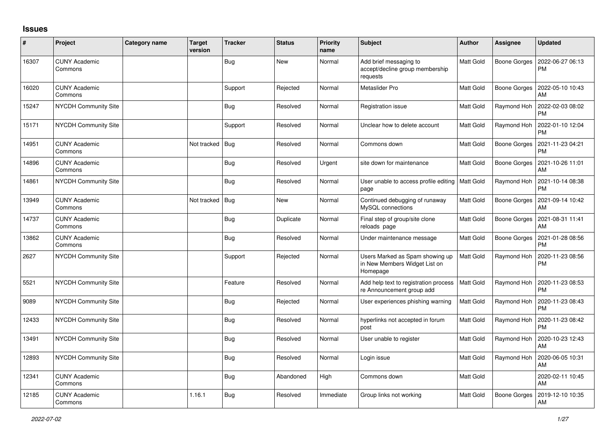## **Issues**

| #     | Project                         | <b>Category name</b> | <b>Target</b><br>version | <b>Tracker</b> | <b>Status</b> | <b>Priority</b><br>name | <b>Subject</b>                                                               | Author           | <b>Assignee</b>     | <b>Updated</b>                |
|-------|---------------------------------|----------------------|--------------------------|----------------|---------------|-------------------------|------------------------------------------------------------------------------|------------------|---------------------|-------------------------------|
| 16307 | <b>CUNY Academic</b><br>Commons |                      |                          | <b>Bug</b>     | <b>New</b>    | Normal                  | Add brief messaging to<br>accept/decline group membership<br>requests        | Matt Gold        | Boone Gorges        | 2022-06-27 06:13<br><b>PM</b> |
| 16020 | <b>CUNY Academic</b><br>Commons |                      |                          | Support        | Rejected      | Normal                  | Metaslider Pro                                                               | Matt Gold        | Boone Gorges        | 2022-05-10 10:43<br>AM        |
| 15247 | <b>NYCDH Community Site</b>     |                      |                          | <b>Bug</b>     | Resolved      | Normal                  | Registration issue                                                           | Matt Gold        | Raymond Hoh         | 2022-02-03 08:02<br><b>PM</b> |
| 15171 | <b>NYCDH Community Site</b>     |                      |                          | Support        | Resolved      | Normal                  | Unclear how to delete account                                                | <b>Matt Gold</b> | Raymond Hoh         | 2022-01-10 12:04<br><b>PM</b> |
| 14951 | <b>CUNY Academic</b><br>Commons |                      | Not tracked              | <b>Bug</b>     | Resolved      | Normal                  | Commons down                                                                 | Matt Gold        | Boone Gorges        | 2021-11-23 04:21<br><b>PM</b> |
| 14896 | <b>CUNY Academic</b><br>Commons |                      |                          | Bug            | Resolved      | Urgent                  | site down for maintenance                                                    | Matt Gold        | <b>Boone Gorges</b> | 2021-10-26 11:01<br>AM        |
| 14861 | <b>NYCDH Community Site</b>     |                      |                          | Bug            | Resolved      | Normal                  | User unable to access profile editing   Matt Gold<br>page                    |                  | Raymond Hoh         | 2021-10-14 08:38<br><b>PM</b> |
| 13949 | <b>CUNY Academic</b><br>Commons |                      | Not tracked              | Bug            | <b>New</b>    | Normal                  | Continued debugging of runaway<br>MySQL connections                          | <b>Matt Gold</b> | Boone Gorges        | 2021-09-14 10:42<br>AM        |
| 14737 | <b>CUNY Academic</b><br>Commons |                      |                          | <b>Bug</b>     | Duplicate     | Normal                  | Final step of group/site clone<br>reloads page                               | <b>Matt Gold</b> | Boone Gorges        | 2021-08-31 11:41<br>AM        |
| 13862 | <b>CUNY Academic</b><br>Commons |                      |                          | Bug            | Resolved      | Normal                  | Under maintenance message                                                    | Matt Gold        | Boone Gorges        | 2021-01-28 08:56<br><b>PM</b> |
| 2627  | NYCDH Community Site            |                      |                          | Support        | Rejected      | Normal                  | Users Marked as Spam showing up<br>in New Members Widget List on<br>Homepage | <b>Matt Gold</b> | Raymond Hoh         | 2020-11-23 08:56<br><b>PM</b> |
| 5521  | <b>NYCDH Community Site</b>     |                      |                          | Feature        | Resolved      | Normal                  | Add help text to registration process<br>re Announcement group add           | <b>Matt Gold</b> | Raymond Hoh         | 2020-11-23 08:53<br><b>PM</b> |
| 9089  | NYCDH Community Site            |                      |                          | <b>Bug</b>     | Rejected      | Normal                  | User experiences phishing warning                                            | Matt Gold        | Raymond Hoh         | 2020-11-23 08:43<br><b>PM</b> |
| 12433 | <b>NYCDH Community Site</b>     |                      |                          | <b>Bug</b>     | Resolved      | Normal                  | hyperlinks not accepted in forum<br>post                                     | Matt Gold        | Raymond Hoh         | 2020-11-23 08:42<br><b>PM</b> |
| 13491 | NYCDH Community Site            |                      |                          | <b>Bug</b>     | Resolved      | Normal                  | User unable to register                                                      | Matt Gold        | Raymond Hoh         | 2020-10-23 12:43<br>AM        |
| 12893 | <b>NYCDH Community Site</b>     |                      |                          | Bug            | Resolved      | Normal                  | Login issue                                                                  | Matt Gold        | Raymond Hoh         | 2020-06-05 10:31<br>AM        |
| 12341 | <b>CUNY Academic</b><br>Commons |                      |                          | Bug            | Abandoned     | High                    | Commons down                                                                 | Matt Gold        |                     | 2020-02-11 10:45<br>AM        |
| 12185 | <b>CUNY Academic</b><br>Commons |                      | 1.16.1                   | Bug            | Resolved      | Immediate               | Group links not working                                                      | Matt Gold        | <b>Boone Gorges</b> | 2019-12-10 10:35<br>AM        |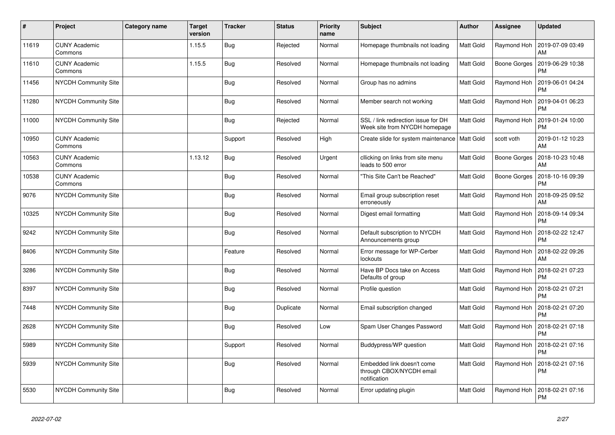| #     | Project                         | <b>Category name</b> | <b>Target</b><br>version | <b>Tracker</b> | <b>Status</b> | <b>Priority</b><br>name | <b>Subject</b>                                                         | Author           | <b>Assignee</b> | <b>Updated</b>                |
|-------|---------------------------------|----------------------|--------------------------|----------------|---------------|-------------------------|------------------------------------------------------------------------|------------------|-----------------|-------------------------------|
| 11619 | <b>CUNY Academic</b><br>Commons |                      | 1.15.5                   | <b>Bug</b>     | Rejected      | Normal                  | Homepage thumbnails not loading                                        | <b>Matt Gold</b> | Raymond Hoh     | 2019-07-09 03:49<br>AM        |
| 11610 | <b>CUNY Academic</b><br>Commons |                      | 1.15.5                   | Bug            | Resolved      | Normal                  | Homepage thumbnails not loading                                        | Matt Gold        | Boone Gorges    | 2019-06-29 10:38<br><b>PM</b> |
| 11456 | <b>NYCDH Community Site</b>     |                      |                          | Bug            | Resolved      | Normal                  | Group has no admins                                                    | <b>Matt Gold</b> | Raymond Hoh     | 2019-06-01 04:24<br><b>PM</b> |
| 11280 | NYCDH Community Site            |                      |                          | Bug            | Resolved      | Normal                  | Member search not working                                              | <b>Matt Gold</b> | Raymond Hoh     | 2019-04-01 06:23<br><b>PM</b> |
| 11000 | NYCDH Community Site            |                      |                          | <b>Bug</b>     | Rejected      | Normal                  | SSL / link redirection issue for DH<br>Week site from NYCDH homepage   | Matt Gold        | Raymond Hoh     | 2019-01-24 10:00<br><b>PM</b> |
| 10950 | <b>CUNY Academic</b><br>Commons |                      |                          | Support        | Resolved      | High                    | Create slide for system maintenance   Matt Gold                        |                  | scott voth      | 2019-01-12 10:23<br>AM        |
| 10563 | <b>CUNY Academic</b><br>Commons |                      | 1.13.12                  | Bug            | Resolved      | Urgent                  | cllicking on links from site menu<br>leads to 500 error                | <b>Matt Gold</b> | Boone Gorges    | 2018-10-23 10:48<br>AM        |
| 10538 | <b>CUNY Academic</b><br>Commons |                      |                          | <b>Bug</b>     | Resolved      | Normal                  | "This Site Can't be Reached"                                           | Matt Gold        | Boone Gorges    | 2018-10-16 09:39<br><b>PM</b> |
| 9076  | <b>NYCDH Community Site</b>     |                      |                          | Bug            | Resolved      | Normal                  | Email group subscription reset<br>erroneously                          | Matt Gold        | Raymond Hoh     | 2018-09-25 09:52<br>AM        |
| 10325 | NYCDH Community Site            |                      |                          | Bug            | Resolved      | Normal                  | Digest email formatting                                                | <b>Matt Gold</b> | Raymond Hoh     | 2018-09-14 09:34<br><b>PM</b> |
| 9242  | NYCDH Community Site            |                      |                          | <b>Bug</b>     | Resolved      | Normal                  | Default subscription to NYCDH<br>Announcements group                   | Matt Gold        | Raymond Hoh     | 2018-02-22 12:47<br><b>PM</b> |
| 8406  | NYCDH Community Site            |                      |                          | Feature        | Resolved      | Normal                  | Error message for WP-Cerber<br>lockouts                                | Matt Gold        | Raymond Hoh     | 2018-02-22 09:26<br>AM        |
| 3286  | NYCDH Community Site            |                      |                          | <b>Bug</b>     | Resolved      | Normal                  | Have BP Docs take on Access<br>Defaults of group                       | Matt Gold        | Raymond Hoh     | 2018-02-21 07:23<br><b>PM</b> |
| 8397  | NYCDH Community Site            |                      |                          | <b>Bug</b>     | Resolved      | Normal                  | Profile question                                                       | Matt Gold        | Raymond Hoh     | 2018-02-21 07:21<br><b>PM</b> |
| 7448  | NYCDH Community Site            |                      |                          | <b>Bug</b>     | Duplicate     | Normal                  | Email subscription changed                                             | <b>Matt Gold</b> | Raymond Hoh     | 2018-02-21 07:20<br><b>PM</b> |
| 2628  | NYCDH Community Site            |                      |                          | Bug            | Resolved      | Low                     | Spam User Changes Password                                             | Matt Gold        | Raymond Hoh     | 2018-02-21 07:18<br><b>PM</b> |
| 5989  | NYCDH Community Site            |                      |                          | Support        | Resolved      | Normal                  | Buddypress/WP question                                                 | Matt Gold        | Raymond Hoh     | 2018-02-21 07:16<br><b>PM</b> |
| 5939  | NYCDH Community Site            |                      |                          | <b>Bug</b>     | Resolved      | Normal                  | Embedded link doesn't come<br>through CBOX/NYCDH email<br>notification | Matt Gold        | Raymond Hoh     | 2018-02-21 07:16<br><b>PM</b> |
| 5530  | NYCDH Community Site            |                      |                          | <b>Bug</b>     | Resolved      | Normal                  | Error updating plugin                                                  | <b>Matt Gold</b> | Raymond Hoh     | 2018-02-21 07:16<br><b>PM</b> |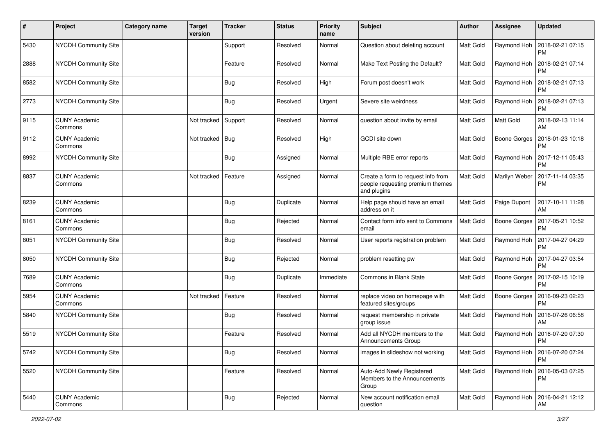| #    | Project                         | <b>Category name</b> | <b>Target</b><br>version | <b>Tracker</b> | <b>Status</b> | <b>Priority</b><br>name | Subject                                                                               | Author           | <b>Assignee</b>     | <b>Updated</b>                               |
|------|---------------------------------|----------------------|--------------------------|----------------|---------------|-------------------------|---------------------------------------------------------------------------------------|------------------|---------------------|----------------------------------------------|
| 5430 | <b>NYCDH Community Site</b>     |                      |                          | Support        | Resolved      | Normal                  | Question about deleting account                                                       | Matt Gold        | Raymond Hoh         | 2018-02-21 07:15<br>PM                       |
| 2888 | <b>NYCDH Community Site</b>     |                      |                          | Feature        | Resolved      | Normal                  | Make Text Posting the Default?                                                        | Matt Gold        | Raymond Hoh         | 2018-02-21 07:14<br><b>PM</b>                |
| 8582 | <b>NYCDH Community Site</b>     |                      |                          | <b>Bug</b>     | Resolved      | High                    | Forum post doesn't work                                                               | Matt Gold        | Raymond Hoh         | 2018-02-21 07:13<br>PM                       |
| 2773 | <b>NYCDH Community Site</b>     |                      |                          | Bug            | Resolved      | Urgent                  | Severe site weirdness                                                                 | <b>Matt Gold</b> | Raymond Hoh         | 2018-02-21 07:13<br><b>PM</b>                |
| 9115 | <b>CUNY Academic</b><br>Commons |                      | Not tracked              | Support        | Resolved      | Normal                  | question about invite by email                                                        | Matt Gold        | Matt Gold           | 2018-02-13 11:14<br>AM                       |
| 9112 | <b>CUNY Academic</b><br>Commons |                      | Not tracked              | Bug            | Resolved      | High                    | GCDI site down                                                                        | Matt Gold        |                     | Boone Gorges   2018-01-23 10:18<br><b>PM</b> |
| 8992 | <b>NYCDH Community Site</b>     |                      |                          | <b>Bug</b>     | Assigned      | Normal                  | Multiple RBE error reports                                                            | <b>Matt Gold</b> | Raymond Hoh         | 2017-12-11 05:43<br><b>PM</b>                |
| 8837 | <b>CUNY Academic</b><br>Commons |                      | Not tracked              | Feature        | Assigned      | Normal                  | Create a form to request info from<br>people requesting premium themes<br>and plugins | Matt Gold        | Marilyn Weber       | 2017-11-14 03:35<br><b>PM</b>                |
| 8239 | <b>CUNY Academic</b><br>Commons |                      |                          | Bug            | Duplicate     | Normal                  | Help page should have an email<br>address on it                                       | Matt Gold        | Paige Dupont        | 2017-10-11 11:28<br>AM                       |
| 8161 | <b>CUNY Academic</b><br>Commons |                      |                          | Bug            | Rejected      | Normal                  | Contact form info sent to Commons<br>email                                            | <b>Matt Gold</b> | <b>Boone Gorges</b> | 2017-05-21 10:52<br><b>PM</b>                |
| 8051 | <b>NYCDH Community Site</b>     |                      |                          | Bug            | Resolved      | Normal                  | User reports registration problem                                                     | Matt Gold        | Raymond Hoh         | 2017-04-27 04:29<br><b>PM</b>                |
| 8050 | <b>NYCDH Community Site</b>     |                      |                          | Bug            | Rejected      | Normal                  | problem resetting pw                                                                  | <b>Matt Gold</b> | Raymond Hoh         | 2017-04-27 03:54<br><b>PM</b>                |
| 7689 | <b>CUNY Academic</b><br>Commons |                      |                          | Bug            | Duplicate     | Immediate               | <b>Commons in Blank State</b>                                                         | Matt Gold        | Boone Gorges        | 2017-02-15 10:19<br><b>PM</b>                |
| 5954 | <b>CUNY Academic</b><br>Commons |                      | Not tracked              | Feature        | Resolved      | Normal                  | replace video on homepage with<br>featured sites/groups                               | Matt Gold        | <b>Boone Gorges</b> | 2016-09-23 02:23<br><b>PM</b>                |
| 5840 | <b>NYCDH Community Site</b>     |                      |                          | Bug            | Resolved      | Normal                  | request membership in private<br>group issue                                          | Matt Gold        | Raymond Hoh         | 2016-07-26 06:58<br>AM                       |
| 5519 | <b>NYCDH Community Site</b>     |                      |                          | Feature        | Resolved      | Normal                  | Add all NYCDH members to the<br>Announcements Group                                   | Matt Gold        | Raymond Hoh         | 2016-07-20 07:30<br><b>PM</b>                |
| 5742 | NYCDH Community Site            |                      |                          | <b>Bug</b>     | Resolved      | Normal                  | images in slideshow not working                                                       | Matt Gold        |                     | Raymond Hoh   2016-07-20 07:24<br>PM         |
| 5520 | NYCDH Community Site            |                      |                          | Feature        | Resolved      | Normal                  | Auto-Add Newly Registered<br>Members to the Announcements<br>Group                    | Matt Gold        |                     | Raymond Hoh 2016-05-03 07:25<br><b>PM</b>    |
| 5440 | <b>CUNY Academic</b><br>Commons |                      |                          | <b>Bug</b>     | Rejected      | Normal                  | New account notification email<br>question                                            | Matt Gold        | Raymond Hoh         | 2016-04-21 12:12<br>AM                       |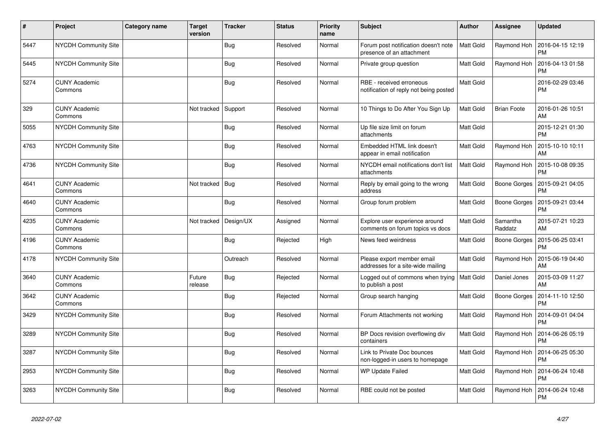| $\vert$ # | Project                         | Category name | <b>Target</b><br>version | <b>Tracker</b> | <b>Status</b> | <b>Priority</b><br>name | <b>Subject</b>                                                     | Author           | Assignee            | <b>Updated</b>                |
|-----------|---------------------------------|---------------|--------------------------|----------------|---------------|-------------------------|--------------------------------------------------------------------|------------------|---------------------|-------------------------------|
| 5447      | <b>NYCDH Community Site</b>     |               |                          | <b>Bug</b>     | Resolved      | Normal                  | Forum post notification doesn't note<br>presence of an attachment  | <b>Matt Gold</b> | Raymond Hoh         | 2016-04-15 12:19<br><b>PM</b> |
| 5445      | <b>NYCDH Community Site</b>     |               |                          | <b>Bug</b>     | Resolved      | Normal                  | Private group question                                             | Matt Gold        | Raymond Hoh         | 2016-04-13 01:58<br>PM        |
| 5274      | <b>CUNY Academic</b><br>Commons |               |                          | Bug            | Resolved      | Normal                  | RBE - received erroneous<br>notification of reply not being posted | Matt Gold        |                     | 2016-02-29 03:46<br><b>PM</b> |
| 329       | <b>CUNY Academic</b><br>Commons |               | Not tracked              | Support        | Resolved      | Normal                  | 10 Things to Do After You Sign Up                                  | Matt Gold        | <b>Brian Foote</b>  | 2016-01-26 10:51<br>AM        |
| 5055      | <b>NYCDH Community Site</b>     |               |                          | Bug            | Resolved      | Normal                  | Up file size limit on forum<br>attachments                         | Matt Gold        |                     | 2015-12-21 01:30<br><b>PM</b> |
| 4763      | NYCDH Community Site            |               |                          | Bug            | Resolved      | Normal                  | Embedded HTML link doesn't<br>appear in email notification         | Matt Gold        | Raymond Hoh         | 2015-10-10 10:11<br>AM        |
| 4736      | NYCDH Community Site            |               |                          | <b>Bug</b>     | Resolved      | Normal                  | NYCDH email notifications don't list<br>attachments                | <b>Matt Gold</b> | Raymond Hoh         | 2015-10-08 09:35<br>PM        |
| 4641      | <b>CUNY Academic</b><br>Commons |               | Not tracked              | Bug            | Resolved      | Normal                  | Reply by email going to the wrong<br>address                       | Matt Gold        | Boone Gorges        | 2015-09-21 04:05<br><b>PM</b> |
| 4640      | <b>CUNY Academic</b><br>Commons |               |                          | Bug            | Resolved      | Normal                  | Group forum problem                                                | Matt Gold        | Boone Gorges        | 2015-09-21 03:44<br>PM        |
| 4235      | <b>CUNY Academic</b><br>Commons |               | Not tracked              | Design/UX      | Assigned      | Normal                  | Explore user experience around<br>comments on forum topics vs docs | Matt Gold        | Samantha<br>Raddatz | 2015-07-21 10:23<br>AM        |
| 4196      | <b>CUNY Academic</b><br>Commons |               |                          | <b>Bug</b>     | Rejected      | High                    | News feed weirdness                                                | Matt Gold        | Boone Gorges        | 2015-06-25 03:41<br><b>PM</b> |
| 4178      | <b>NYCDH Community Site</b>     |               |                          | Outreach       | Resolved      | Normal                  | Please export member email<br>addresses for a site-wide mailing    | Matt Gold        | Raymond Hoh         | 2015-06-19 04:40<br>AM        |
| 3640      | <b>CUNY Academic</b><br>Commons |               | Future<br>release        | <b>Bug</b>     | Rejected      | Normal                  | Logged out of commons when trying<br>to publish a post             | <b>Matt Gold</b> | Daniel Jones        | 2015-03-09 11:27<br>AM        |
| 3642      | <b>CUNY Academic</b><br>Commons |               |                          | Bug            | Rejected      | Normal                  | Group search hanging                                               | Matt Gold        | Boone Gorges        | 2014-11-10 12:50<br><b>PM</b> |
| 3429      | NYCDH Community Site            |               |                          | <b>Bug</b>     | Resolved      | Normal                  | Forum Attachments not working                                      | Matt Gold        | Raymond Hoh         | 2014-09-01 04:04<br><b>PM</b> |
| 3289      | <b>NYCDH Community Site</b>     |               |                          | Bug            | Resolved      | Normal                  | BP Docs revision overflowing div<br>containers                     | Matt Gold        | Raymond Hoh         | 2014-06-26 05:19<br>PM        |
| 3287      | <b>NYCDH Community Site</b>     |               |                          | Bug            | Resolved      | Normal                  | Link to Private Doc bounces<br>non-logged-in users to homepage     | Matt Gold        | Raymond Hoh         | 2014-06-25 05:30<br><b>PM</b> |
| 2953      | NYCDH Community Site            |               |                          | <b>Bug</b>     | Resolved      | Normal                  | <b>WP Update Failed</b>                                            | Matt Gold        | Raymond Hoh         | 2014-06-24 10:48<br><b>PM</b> |
| 3263      | <b>NYCDH Community Site</b>     |               |                          | <b>Bug</b>     | Resolved      | Normal                  | RBE could not be posted                                            | Matt Gold        | Raymond Hoh         | 2014-06-24 10:48<br><b>PM</b> |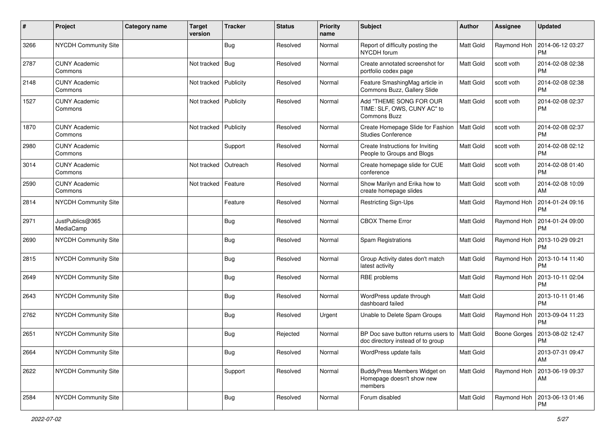| #    | Project                         | <b>Category name</b> | <b>Target</b><br>version | <b>Tracker</b> | <b>Status</b> | <b>Priority</b><br>name | Subject                                                                       | Author           | <b>Assignee</b> | <b>Updated</b>                |
|------|---------------------------------|----------------------|--------------------------|----------------|---------------|-------------------------|-------------------------------------------------------------------------------|------------------|-----------------|-------------------------------|
| 3266 | NYCDH Community Site            |                      |                          | Bug            | Resolved      | Normal                  | Report of difficulty posting the<br>NYCDH forum                               | Matt Gold        | Raymond Hoh     | 2014-06-12 03:27<br><b>PM</b> |
| 2787 | <b>CUNY Academic</b><br>Commons |                      | Not tracked              | Bug            | Resolved      | Normal                  | Create annotated screenshot for<br>portfolio codex page                       | <b>Matt Gold</b> | scott voth      | 2014-02-08 02:38<br><b>PM</b> |
| 2148 | <b>CUNY Academic</b><br>Commons |                      | Not tracked              | Publicity      | Resolved      | Normal                  | Feature SmashingMag article in<br>Commons Buzz, Gallery Slide                 | Matt Gold        | scott voth      | 2014-02-08 02:38<br><b>PM</b> |
| 1527 | <b>CUNY Academic</b><br>Commons |                      | Not tracked              | Publicity      | Resolved      | Normal                  | Add "THEME SONG FOR OUR<br>TIME: SLF, OWS, CUNY AC" to<br><b>Commons Buzz</b> | <b>Matt Gold</b> | scott voth      | 2014-02-08 02:37<br><b>PM</b> |
| 1870 | <b>CUNY Academic</b><br>Commons |                      | Not tracked              | Publicity      | Resolved      | Normal                  | Create Homepage Slide for Fashion<br><b>Studies Conference</b>                | Matt Gold        | scott voth      | 2014-02-08 02:37<br><b>PM</b> |
| 2980 | <b>CUNY Academic</b><br>Commons |                      |                          | Support        | Resolved      | Normal                  | Create Instructions for Inviting<br>People to Groups and Blogs                | <b>Matt Gold</b> | scott voth      | 2014-02-08 02:12<br><b>PM</b> |
| 3014 | <b>CUNY Academic</b><br>Commons |                      | Not tracked              | Outreach       | Resolved      | Normal                  | Create homepage slide for CUE<br>conference                                   | Matt Gold        | scott voth      | 2014-02-08 01:40<br><b>PM</b> |
| 2590 | <b>CUNY Academic</b><br>Commons |                      | Not tracked              | Feature        | Resolved      | Normal                  | Show Marilyn and Erika how to<br>create homepage slides                       | <b>Matt Gold</b> | scott voth      | 2014-02-08 10:09<br>AM        |
| 2814 | NYCDH Community Site            |                      |                          | Feature        | Resolved      | Normal                  | Restricting Sign-Ups                                                          | <b>Matt Gold</b> | Raymond Hoh     | 2014-01-24 09:16<br><b>PM</b> |
| 2971 | JustPublics@365<br>MediaCamp    |                      |                          | Bug            | Resolved      | Normal                  | <b>CBOX Theme Error</b>                                                       | <b>Matt Gold</b> | Raymond Hoh     | 2014-01-24 09:00<br><b>PM</b> |
| 2690 | NYCDH Community Site            |                      |                          | <b>Bug</b>     | Resolved      | Normal                  | Spam Registrations                                                            | Matt Gold        | Raymond Hoh     | 2013-10-29 09:21<br><b>PM</b> |
| 2815 | NYCDH Community Site            |                      |                          | Bug            | Resolved      | Normal                  | Group Activity dates don't match<br>latest activity                           | <b>Matt Gold</b> | Raymond Hoh     | 2013-10-14 11:40<br><b>PM</b> |
| 2649 | NYCDH Community Site            |                      |                          | <b>Bug</b>     | Resolved      | Normal                  | RBE problems                                                                  | Matt Gold        | Raymond Hoh     | 2013-10-11 02:04<br><b>PM</b> |
| 2643 | NYCDH Community Site            |                      |                          | <b>Bug</b>     | Resolved      | Normal                  | WordPress update through<br>dashboard failed                                  | <b>Matt Gold</b> |                 | 2013-10-11 01:46<br><b>PM</b> |
| 2762 | NYCDH Community Site            |                      |                          | Bug            | Resolved      | Urgent                  | Unable to Delete Spam Groups                                                  | <b>Matt Gold</b> | Raymond Hoh     | 2013-09-04 11:23<br><b>PM</b> |
| 2651 | NYCDH Community Site            |                      |                          | <b>Bug</b>     | Rejected      | Normal                  | BP Doc save button returns users to<br>doc directory instead of to group      | Matt Gold        | Boone Gorges    | 2013-08-02 12:47<br><b>PM</b> |
| 2664 | NYCDH Community Site            |                      |                          | Bug            | Resolved      | Normal                  | WordPress update fails                                                        | Matt Gold        |                 | 2013-07-31 09:47<br>AM        |
| 2622 | NYCDH Community Site            |                      |                          | Support        | Resolved      | Normal                  | BuddyPress Members Widget on<br>Homepage doesn't show new<br>members          | Matt Gold        | Raymond Hoh     | 2013-06-19 09:37<br>AM        |
| 2584 | NYCDH Community Site            |                      |                          | <b>Bug</b>     | Resolved      | Normal                  | Forum disabled                                                                | Matt Gold        | Raymond Hoh     | 2013-06-13 01:46<br>PM        |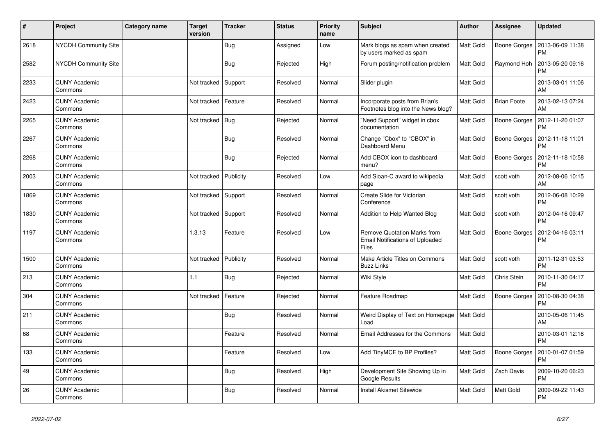| #    | Project                         | Category name | <b>Target</b><br>version | <b>Tracker</b> | <b>Status</b> | <b>Priority</b><br>name | <b>Subject</b>                                                                        | Author           | Assignee           | <b>Updated</b>                |
|------|---------------------------------|---------------|--------------------------|----------------|---------------|-------------------------|---------------------------------------------------------------------------------------|------------------|--------------------|-------------------------------|
| 2618 | <b>NYCDH Community Site</b>     |               |                          | Bug            | Assigned      | Low                     | Mark blogs as spam when created<br>by users marked as spam                            | <b>Matt Gold</b> | Boone Gorges       | 2013-06-09 11:38<br><b>PM</b> |
| 2582 | <b>NYCDH Community Site</b>     |               |                          | Bug            | Rejected      | High                    | Forum posting/notification problem                                                    | <b>Matt Gold</b> | Raymond Hoh        | 2013-05-20 09:16<br><b>PM</b> |
| 2233 | <b>CUNY Academic</b><br>Commons |               | Not tracked              | Support        | Resolved      | Normal                  | Slider plugin                                                                         | Matt Gold        |                    | 2013-03-01 11:06<br>AM        |
| 2423 | <b>CUNY Academic</b><br>Commons |               | Not tracked              | Feature        | Resolved      | Normal                  | Incorporate posts from Brian's<br>Footnotes blog into the News blog?                  | Matt Gold        | <b>Brian Foote</b> | 2013-02-13 07:24<br>AM        |
| 2265 | <b>CUNY Academic</b><br>Commons |               | Not tracked              | Bug            | Rejected      | Normal                  | "Need Support" widget in cbox<br>documentation                                        | <b>Matt Gold</b> | Boone Gorges       | 2012-11-20 01:07<br><b>PM</b> |
| 2267 | <b>CUNY Academic</b><br>Commons |               |                          | Bug            | Resolved      | Normal                  | Change "Cbox" to "CBOX" in<br>Dashboard Menu                                          | Matt Gold        | Boone Gorges       | 2012-11-18 11:01<br><b>PM</b> |
| 2268 | <b>CUNY Academic</b><br>Commons |               |                          | Bug            | Rejected      | Normal                  | Add CBOX icon to dashboard<br>menu?                                                   | <b>Matt Gold</b> | Boone Gorges       | 2012-11-18 10:58<br><b>PM</b> |
| 2003 | <b>CUNY Academic</b><br>Commons |               | Not tracked              | Publicity      | Resolved      | Low                     | Add Sloan-C award to wikipedia<br>page                                                | <b>Matt Gold</b> | scott voth         | 2012-08-06 10:15<br>AM        |
| 1869 | <b>CUNY Academic</b><br>Commons |               | Not tracked              | Support        | Resolved      | Normal                  | Create Slide for Victorian<br>Conference                                              | Matt Gold        | scott voth         | 2012-06-08 10:29<br><b>PM</b> |
| 1830 | <b>CUNY Academic</b><br>Commons |               | Not tracked Support      |                | Resolved      | Normal                  | Addition to Help Wanted Blog                                                          | <b>Matt Gold</b> | scott voth         | 2012-04-16 09:47<br><b>PM</b> |
| 1197 | <b>CUNY Academic</b><br>Commons |               | 1.3.13                   | Feature        | Resolved      | Low                     | <b>Remove Quotation Marks from</b><br><b>Email Notifications of Uploaded</b><br>Files | <b>Matt Gold</b> | Boone Gorges       | 2012-04-16 03:11<br><b>PM</b> |
| 1500 | <b>CUNY Academic</b><br>Commons |               | Not tracked              | Publicity      | Resolved      | Normal                  | Make Article Titles on Commons<br><b>Buzz Links</b>                                   | <b>Matt Gold</b> | scott voth         | 2011-12-31 03:53<br><b>PM</b> |
| 213  | <b>CUNY Academic</b><br>Commons |               | 1.1                      | Bug            | Rejected      | Normal                  | Wiki Style                                                                            | <b>Matt Gold</b> | Chris Stein        | 2010-11-30 04:17<br><b>PM</b> |
| 304  | CUNY Academic<br>Commons        |               | Not tracked              | Feature        | Rejected      | Normal                  | Feature Roadmap                                                                       | <b>Matt Gold</b> | Boone Gorges       | 2010-08-30 04:38<br><b>PM</b> |
| 211  | <b>CUNY Academic</b><br>Commons |               |                          | Bug            | Resolved      | Normal                  | Weird Display of Text on Homepage   Matt Gold<br>Load                                 |                  |                    | 2010-05-06 11:45<br>AM        |
| 68   | <b>CUNY Academic</b><br>Commons |               |                          | Feature        | Resolved      | Normal                  | Email Addresses for the Commons                                                       | <b>Matt Gold</b> |                    | 2010-03-01 12:18<br><b>PM</b> |
| 133  | <b>CUNY Academic</b><br>Commons |               |                          | Feature        | Resolved      | Low                     | Add TinyMCE to BP Profiles?                                                           | <b>Matt Gold</b> | Boone Gorges       | 2010-01-07 01:59<br><b>PM</b> |
| 49   | <b>CUNY Academic</b><br>Commons |               |                          | <b>Bug</b>     | Resolved      | High                    | Development Site Showing Up in<br>Google Results                                      | <b>Matt Gold</b> | Zach Davis         | 2009-10-20 06:23<br><b>PM</b> |
| 26   | <b>CUNY Academic</b><br>Commons |               |                          | Bug            | Resolved      | Normal                  | <b>Install Akismet Sitewide</b>                                                       | <b>Matt Gold</b> | Matt Gold          | 2009-09-22 11:43<br><b>PM</b> |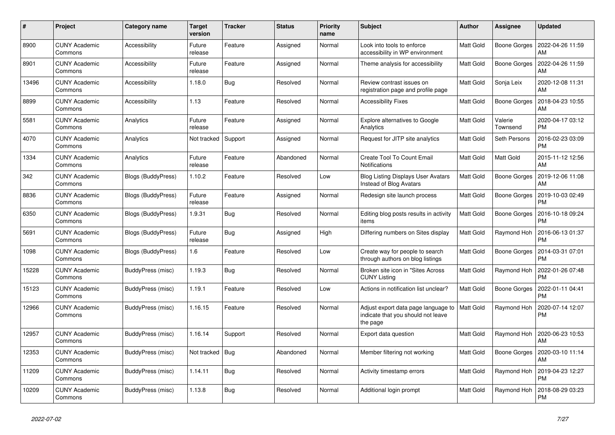| #     | Project                         | Category name      | <b>Target</b><br>version | <b>Tracker</b> | <b>Status</b> | <b>Priority</b><br>name | <b>Subject</b>                                                                        | <b>Author</b>    | Assignee            | <b>Updated</b>         |
|-------|---------------------------------|--------------------|--------------------------|----------------|---------------|-------------------------|---------------------------------------------------------------------------------------|------------------|---------------------|------------------------|
| 8900  | <b>CUNY Academic</b><br>Commons | Accessibility      | Future<br>release        | Feature        | Assigned      | Normal                  | Look into tools to enforce<br>accessibility in WP environment                         | Matt Gold        | Boone Gorges        | 2022-04-26 11:59<br>AM |
| 8901  | <b>CUNY Academic</b><br>Commons | Accessibility      | Future<br>release        | Feature        | Assigned      | Normal                  | Theme analysis for accessibility                                                      | Matt Gold        | Boone Gorges        | 2022-04-26 11:59<br>AM |
| 13496 | CUNY Academic<br>Commons        | Accessibility      | 1.18.0                   | Bug            | Resolved      | Normal                  | Review contrast issues on<br>registration page and profile page                       | Matt Gold        | Sonja Leix          | 2020-12-08 11:31<br>AM |
| 8899  | <b>CUNY Academic</b><br>Commons | Accessibility      | 1.13                     | Feature        | Resolved      | Normal                  | <b>Accessibility Fixes</b>                                                            | Matt Gold        | Boone Gorges        | 2018-04-23 10:55<br>AM |
| 5581  | <b>CUNY Academic</b><br>Commons | Analytics          | Future<br>release        | Feature        | Assigned      | Normal                  | Explore alternatives to Google<br>Analytics                                           | Matt Gold        | Valerie<br>Townsend | 2020-04-17 03:12<br>РM |
| 4070  | <b>CUNY Academic</b><br>Commons | Analytics          | Not tracked              | Support        | Assigned      | Normal                  | Request for JITP site analytics                                                       | Matt Gold        | Seth Persons        | 2016-02-23 03:09<br>PM |
| 1334  | <b>CUNY Academic</b><br>Commons | Analytics          | Future<br>release        | Feature        | Abandoned     | Normal                  | <b>Create Tool To Count Email</b><br>Notifications                                    | Matt Gold        | Matt Gold           | 2015-11-12 12:56<br>AM |
| 342   | <b>CUNY Academic</b><br>Commons | Blogs (BuddyPress) | 1.10.2                   | Feature        | Resolved      | Low                     | <b>Blog Listing Displays User Avatars</b><br>Instead of Blog Avatars                  | Matt Gold        | Boone Gorges        | 2019-12-06 11:08<br>AM |
| 8836  | CUNY Academic<br>Commons        | Blogs (BuddyPress) | Future<br>release        | Feature        | Assigned      | Normal                  | Redesign site launch process                                                          | Matt Gold        | Boone Gorges        | 2019-10-03 02:49<br>PM |
| 6350  | <b>CUNY Academic</b><br>Commons | Blogs (BuddyPress) | 1.9.31                   | Bug            | Resolved      | Normal                  | Editing blog posts results in activity<br>items                                       | Matt Gold        | Boone Gorges        | 2016-10-18 09:24<br>PM |
| 5691  | <b>CUNY Academic</b><br>Commons | Blogs (BuddyPress) | Future<br>release        | Bug            | Assigned      | High                    | Differing numbers on Sites display                                                    | Matt Gold        | Raymond Hoh         | 2016-06-13 01:37<br>РM |
| 1098  | <b>CUNY Academic</b><br>Commons | Blogs (BuddyPress) | 1.6                      | Feature        | Resolved      | Low                     | Create way for people to search<br>through authors on blog listings                   | Matt Gold        | Boone Gorges        | 2014-03-31 07:01<br>PM |
| 15228 | <b>CUNY Academic</b><br>Commons | BuddyPress (misc)  | 1.19.3                   | <b>Bug</b>     | Resolved      | Normal                  | Broken site icon in "Sites Across<br><b>CUNY Listing</b>                              | Matt Gold        | Raymond Hoh         | 2022-01-26 07:48<br>PM |
| 15123 | <b>CUNY Academic</b><br>Commons | BuddyPress (misc)  | 1.19.1                   | Feature        | Resolved      | Low                     | Actions in notification list unclear?                                                 | Matt Gold        | Boone Gorges        | 2022-01-11 04:41<br>PM |
| 12966 | <b>CUNY Academic</b><br>Commons | BuddyPress (misc)  | 1.16.15                  | Feature        | Resolved      | Normal                  | Adjust export data page language to<br>indicate that you should not leave<br>the page | <b>Matt Gold</b> | Raymond Hoh         | 2020-07-14 12:07<br>PM |
| 12957 | <b>CUNY Academic</b><br>Commons | BuddyPress (misc)  | 1.16.14                  | Support        | Resolved      | Normal                  | Export data question                                                                  | Matt Gold        | Raymond Hoh         | 2020-06-23 10:53<br>AM |
| 12353 | <b>CUNY Academic</b><br>Commons | BuddyPress (misc)  | Not tracked              | <b>Bug</b>     | Abandoned     | Normal                  | Member filtering not working                                                          | Matt Gold        | Boone Gorges        | 2020-03-10 11:14<br>AM |
| 11209 | <b>CUNY Academic</b><br>Commons | BuddyPress (misc)  | 1.14.11                  | <b>Bug</b>     | Resolved      | Normal                  | Activity timestamp errors                                                             | Matt Gold        | Raymond Hoh         | 2019-04-23 12:27<br>PM |
| 10209 | <b>CUNY Academic</b><br>Commons | BuddyPress (misc)  | 1.13.8                   | Bug            | Resolved      | Normal                  | Additional login prompt                                                               | Matt Gold        | Raymond Hoh         | 2018-08-29 03:23<br>PM |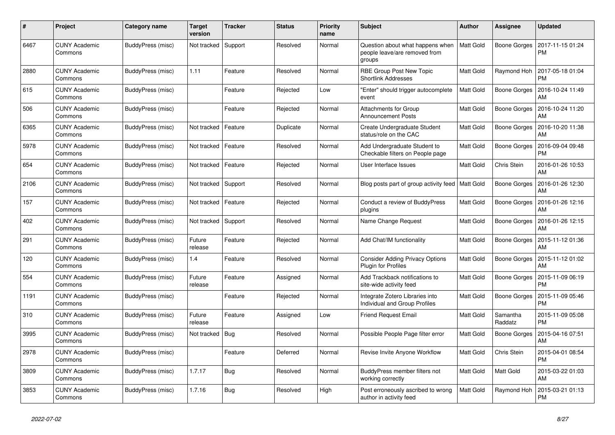| #    | Project                         | Category name     | <b>Target</b><br>version | <b>Tracker</b> | <b>Status</b> | <b>Priority</b><br>name | <b>Subject</b>                                                              | <b>Author</b>    | <b>Assignee</b>     | <b>Updated</b>                |
|------|---------------------------------|-------------------|--------------------------|----------------|---------------|-------------------------|-----------------------------------------------------------------------------|------------------|---------------------|-------------------------------|
| 6467 | <b>CUNY Academic</b><br>Commons | BuddyPress (misc) | Not tracked              | Support        | Resolved      | Normal                  | Question about what happens when<br>people leave/are removed from<br>groups | <b>Matt Gold</b> | Boone Gorges        | 2017-11-15 01:24<br>PM        |
| 2880 | <b>CUNY Academic</b><br>Commons | BuddyPress (misc) | 1.11                     | Feature        | Resolved      | Normal                  | RBE Group Post New Topic<br><b>Shortlink Addresses</b>                      | Matt Gold        | Raymond Hoh         | 2017-05-18 01:04<br>PM        |
| 615  | <b>CUNY Academic</b><br>Commons | BuddyPress (misc) |                          | Feature        | Rejected      | Low                     | "Enter" should trigger autocomplete<br>event                                | Matt Gold        | Boone Gorges        | 2016-10-24 11:49<br>AM        |
| 506  | <b>CUNY Academic</b><br>Commons | BuddyPress (misc) |                          | Feature        | Rejected      | Normal                  | <b>Attachments for Group</b><br><b>Announcement Posts</b>                   | Matt Gold        | Boone Gorges        | 2016-10-24 11:20<br>AM        |
| 6365 | <b>CUNY Academic</b><br>Commons | BuddyPress (misc) | Not tracked              | Feature        | Duplicate     | Normal                  | Create Undergraduate Student<br>status/role on the CAC                      | Matt Gold        | Boone Gorges        | 2016-10-20 11:38<br>AM        |
| 5978 | CUNY Academic<br>Commons        | BuddyPress (misc) | Not tracked              | Feature        | Resolved      | Normal                  | Add Undergraduate Student to<br>Checkable filters on People page            | Matt Gold        | Boone Gorges        | 2016-09-04 09:48<br><b>PM</b> |
| 654  | <b>CUNY Academic</b><br>Commons | BuddyPress (misc) | Not tracked              | Feature        | Rejected      | Normal                  | User Interface Issues                                                       | Matt Gold        | Chris Stein         | 2016-01-26 10:53<br>AM        |
| 2106 | <b>CUNY Academic</b><br>Commons | BuddyPress (misc) | Not tracked              | Support        | Resolved      | Normal                  | Blog posts part of group activity feed                                      | Matt Gold        | Boone Gorges        | 2016-01-26 12:30<br>AM        |
| 157  | <b>CUNY Academic</b><br>Commons | BuddyPress (misc) | Not tracked              | Feature        | Rejected      | Normal                  | Conduct a review of BuddyPress<br>plugins                                   | Matt Gold        | Boone Gorges        | 2016-01-26 12:16<br>AM        |
| 402  | <b>CUNY Academic</b><br>Commons | BuddyPress (misc) | Not tracked              | Support        | Resolved      | Normal                  | Name Change Request                                                         | Matt Gold        | Boone Gorges        | 2016-01-26 12:15<br>AM        |
| 291  | <b>CUNY Academic</b><br>Commons | BuddyPress (misc) | Future<br>release        | Feature        | Rejected      | Normal                  | Add Chat/IM functionality                                                   | Matt Gold        | Boone Gorges        | 2015-11-12 01:36<br>AM        |
| 120  | <b>CUNY Academic</b><br>Commons | BuddyPress (misc) | 1.4                      | Feature        | Resolved      | Normal                  | <b>Consider Adding Privacy Options</b><br><b>Plugin for Profiles</b>        | Matt Gold        | Boone Gorges        | 2015-11-12 01:02<br>AM        |
| 554  | <b>CUNY Academic</b><br>Commons | BuddyPress (misc) | Future<br>release        | Feature        | Assigned      | Normal                  | Add Trackback notifications to<br>site-wide activity feed                   | Matt Gold        | Boone Gorges        | 2015-11-09 06:19<br><b>PM</b> |
| 1191 | <b>CUNY Academic</b><br>Commons | BuddyPress (misc) |                          | Feature        | Rejected      | Normal                  | Integrate Zotero Libraries into<br>Individual and Group Profiles            | Matt Gold        | Boone Gorges        | 2015-11-09 05:46<br>PM        |
| 310  | <b>CUNY Academic</b><br>Commons | BuddyPress (misc) | Future<br>release        | Feature        | Assigned      | Low                     | <b>Friend Request Email</b>                                                 | Matt Gold        | Samantha<br>Raddatz | 2015-11-09 05:08<br>PM        |
| 3995 | <b>CUNY Academic</b><br>Commons | BuddyPress (misc) | Not tracked              | Bug            | Resolved      | Normal                  | Possible People Page filter error                                           | Matt Gold        | Boone Gorges        | 2015-04-16 07:51<br>AM        |
| 2978 | <b>CUNY Academic</b><br>Commons | BuddyPress (misc) |                          | Feature        | Deferred      | Normal                  | Revise Invite Anyone Workflow                                               | Matt Gold        | Chris Stein         | 2015-04-01 08:54<br>PM        |
| 3809 | <b>CUNY Academic</b><br>Commons | BuddyPress (misc) | 1.7.17                   | Bug            | Resolved      | Normal                  | BuddyPress member filters not<br>working correctly                          | Matt Gold        | Matt Gold           | 2015-03-22 01:03<br>AM        |
| 3853 | <b>CUNY Academic</b><br>Commons | BuddyPress (misc) | 1.7.16                   | Bug            | Resolved      | High                    | Post erroneously ascribed to wrong<br>author in activity feed               | Matt Gold        | Raymond Hoh         | 2015-03-21 01:13<br>PM        |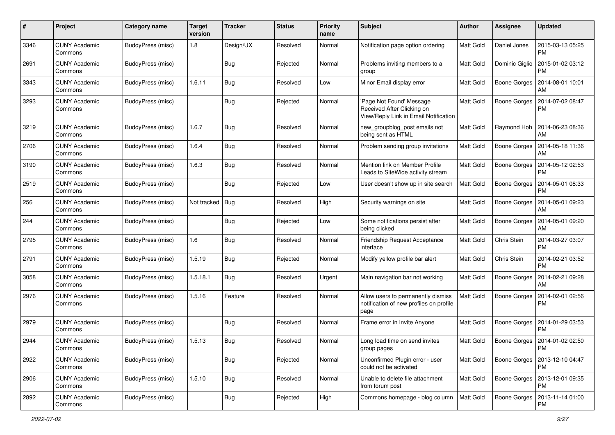| #    | Project                         | <b>Category name</b>     | <b>Target</b><br>version | <b>Tracker</b> | <b>Status</b> | <b>Priority</b><br>name | <b>Subject</b>                                                                                 | <b>Author</b>    | <b>Assignee</b>     | <b>Updated</b>                        |
|------|---------------------------------|--------------------------|--------------------------|----------------|---------------|-------------------------|------------------------------------------------------------------------------------------------|------------------|---------------------|---------------------------------------|
| 3346 | <b>CUNY Academic</b><br>Commons | <b>BuddyPress (misc)</b> | 1.8                      | Design/UX      | Resolved      | Normal                  | Notification page option ordering                                                              | <b>Matt Gold</b> | Daniel Jones        | 2015-03-13 05:25<br><b>PM</b>         |
| 2691 | <b>CUNY Academic</b><br>Commons | BuddyPress (misc)        |                          | Bug            | Rejected      | Normal                  | Problems inviting members to a<br>group                                                        | <b>Matt Gold</b> | Dominic Giglio      | 2015-01-02 03:12<br><b>PM</b>         |
| 3343 | <b>CUNY Academic</b><br>Commons | BuddyPress (misc)        | 1.6.11                   | <b>Bug</b>     | Resolved      | Low                     | Minor Email display error                                                                      | <b>Matt Gold</b> | <b>Boone Gorges</b> | 2014-08-01 10:01<br>AM                |
| 3293 | <b>CUNY Academic</b><br>Commons | <b>BuddyPress</b> (misc) |                          | <b>Bug</b>     | Rejected      | Normal                  | Page Not Found' Message<br>Received After Clicking on<br>View/Reply Link in Email Notification | <b>Matt Gold</b> | <b>Boone Gorges</b> | 2014-07-02 08:47<br>PM                |
| 3219 | <b>CUNY Academic</b><br>Commons | BuddyPress (misc)        | 1.6.7                    | Bug            | Resolved      | Normal                  | new_groupblog_post emails not<br>being sent as HTML                                            | <b>Matt Gold</b> | Raymond Hoh         | 2014-06-23 08:36<br>AM                |
| 2706 | <b>CUNY Academic</b><br>Commons | BuddyPress (misc)        | 1.6.4                    | <b>Bug</b>     | Resolved      | Normal                  | Problem sending group invitations                                                              | <b>Matt Gold</b> | Boone Gorges        | 2014-05-18 11:36<br>AM                |
| 3190 | <b>CUNY Academic</b><br>Commons | BuddyPress (misc)        | 1.6.3                    | Bug            | Resolved      | Normal                  | Mention link on Member Profile<br>Leads to SiteWide activity stream                            | Matt Gold        | <b>Boone Gorges</b> | 2014-05-12 02:53<br>PM                |
| 2519 | <b>CUNY Academic</b><br>Commons | BuddyPress (misc)        |                          | <b>Bug</b>     | Rejected      | Low                     | User doesn't show up in site search                                                            | Matt Gold        | Boone Gorges        | 2014-05-01 08:33<br>PM                |
| 256  | <b>CUNY Academic</b><br>Commons | <b>BuddyPress (misc)</b> | Not tracked              | <b>Bug</b>     | Resolved      | High                    | Security warnings on site                                                                      | Matt Gold        | Boone Gorges        | 2014-05-01 09:23<br>AM                |
| 244  | <b>CUNY Academic</b><br>Commons | BuddyPress (misc)        |                          | <b>Bug</b>     | Rejected      | Low                     | Some notifications persist after<br>being clicked                                              | <b>Matt Gold</b> | Boone Gorges        | 2014-05-01 09:20<br>AM                |
| 2795 | <b>CUNY Academic</b><br>Commons | BuddyPress (misc)        | 1.6                      | Bug            | Resolved      | Normal                  | Friendship Request Acceptance<br>interface                                                     | Matt Gold        | Chris Stein         | 2014-03-27 03:07<br><b>PM</b>         |
| 2791 | <b>CUNY Academic</b><br>Commons | BuddyPress (misc)        | 1.5.19                   | <b>Bug</b>     | Rejected      | Normal                  | Modify yellow profile bar alert                                                                | Matt Gold        | Chris Stein         | 2014-02-21 03:52<br><b>PM</b>         |
| 3058 | <b>CUNY Academic</b><br>Commons | BuddyPress (misc)        | 1.5.18.1                 | <b>Bug</b>     | Resolved      | Urgent                  | Main navigation bar not working                                                                | <b>Matt Gold</b> | Boone Gorges        | 2014-02-21 09:28<br>AM                |
| 2976 | <b>CUNY Academic</b><br>Commons | BuddyPress (misc)        | 1.5.16                   | Feature        | Resolved      | Normal                  | Allow users to permanently dismiss<br>notification of new profiles on profile<br>page          | Matt Gold        | Boone Gorges        | 2014-02-01 02:56<br>PM                |
| 2979 | <b>CUNY Academic</b><br>Commons | BuddyPress (misc)        |                          | <b>Bug</b>     | Resolved      | Normal                  | Frame error in Invite Anyone                                                                   | <b>Matt Gold</b> | Boone Gorges        | 2014-01-29 03:53<br><b>PM</b>         |
| 2944 | <b>CUNY Academic</b><br>∪ommons | <b>BuddyPress (misc)</b> | 1.5.13                   | Bug            | Resolved      | Normal                  | Long load time on send invites<br>group pages                                                  | <b>Matt Gold</b> | Boone Gorges        | 2014-01-02 02:50<br>PM                |
| 2922 | <b>CUNY Academic</b><br>Commons | BuddyPress (misc)        |                          | <b>Bug</b>     | Rejected      | Normal                  | Unconfirmed Plugin error - user<br>could not be activated                                      | Matt Gold        |                     | Boone Gorges   2013-12-10 04:47<br>PM |
| 2906 | <b>CUNY Academic</b><br>Commons | BuddyPress (misc)        | 1.5.10                   | <b>Bug</b>     | Resolved      | Normal                  | Unable to delete file attachment<br>from forum post                                            | <b>Matt Gold</b> |                     | Boone Gorges   2013-12-01 09:35<br>PM |
| 2892 | <b>CUNY Academic</b><br>Commons | BuddyPress (misc)        |                          | <b>Bug</b>     | Rejected      | High                    | Commons homepage - blog column                                                                 | Matt Gold        | Boone Gorges        | 2013-11-14 01:00<br>PM                |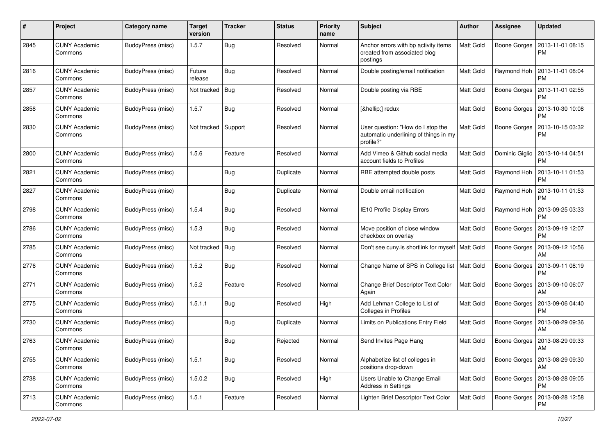| #    | Project                         | <b>Category name</b>     | <b>Target</b><br>version | <b>Tracker</b> | <b>Status</b> | <b>Priority</b><br>name | Subject                                                                                 | Author           | <b>Assignee</b> | <b>Updated</b>                |
|------|---------------------------------|--------------------------|--------------------------|----------------|---------------|-------------------------|-----------------------------------------------------------------------------------------|------------------|-----------------|-------------------------------|
| 2845 | <b>CUNY Academic</b><br>Commons | <b>BuddyPress (misc)</b> | 1.5.7                    | <b>Bug</b>     | Resolved      | Normal                  | Anchor errors with bp activity items<br>created from associated blog<br>postings        | Matt Gold        | Boone Gorges    | 2013-11-01 08:15<br><b>PM</b> |
| 2816 | <b>CUNY Academic</b><br>Commons | BuddyPress (misc)        | Future<br>release        | <b>Bug</b>     | Resolved      | Normal                  | Double posting/email notification                                                       | Matt Gold        | Raymond Hoh     | 2013-11-01 08:04<br><b>PM</b> |
| 2857 | <b>CUNY Academic</b><br>Commons | BuddyPress (misc)        | Not tracked              | <b>Bug</b>     | Resolved      | Normal                  | Double posting via RBE                                                                  | <b>Matt Gold</b> | Boone Gorges    | 2013-11-01 02:55<br><b>PM</b> |
| 2858 | <b>CUNY Academic</b><br>Commons | BuddyPress (misc)        | 1.5.7                    | Bug            | Resolved      | Normal                  | […] redux                                                                               | <b>Matt Gold</b> | Boone Gorges    | 2013-10-30 10:08<br>PM        |
| 2830 | <b>CUNY Academic</b><br>Commons | <b>BuddyPress</b> (misc) | Not tracked              | Support        | Resolved      | Normal                  | User question: "How do I stop the<br>automatic underlining of things in my<br>profile?" | <b>Matt Gold</b> | Boone Gorges    | 2013-10-15 03:32<br><b>PM</b> |
| 2800 | <b>CUNY Academic</b><br>Commons | <b>BuddyPress</b> (misc) | 1.5.6                    | Feature        | Resolved      | Normal                  | Add Vimeo & Github social media<br>account fields to Profiles                           | Matt Gold        | Dominic Giglio  | 2013-10-14 04:51<br>PM        |
| 2821 | <b>CUNY Academic</b><br>Commons | <b>BuddyPress</b> (misc) |                          | Bug            | Duplicate     | Normal                  | RBE attempted double posts                                                              | <b>Matt Gold</b> | Raymond Hoh     | 2013-10-11 01:53<br><b>PM</b> |
| 2827 | <b>CUNY Academic</b><br>Commons | BuddyPress (misc)        |                          | Bug            | Duplicate     | Normal                  | Double email notification                                                               | <b>Matt Gold</b> | Raymond Hoh     | 2013-10-11 01:53<br><b>PM</b> |
| 2798 | <b>CUNY Academic</b><br>Commons | BuddyPress (misc)        | 1.5.4                    | Bug            | Resolved      | Normal                  | IE10 Profile Display Errors                                                             | <b>Matt Gold</b> | Raymond Hoh     | 2013-09-25 03:33<br><b>PM</b> |
| 2786 | <b>CUNY Academic</b><br>Commons | <b>BuddyPress</b> (misc) | 1.5.3                    | Bug            | Resolved      | Normal                  | Move position of close window<br>checkbox on overlay                                    | Matt Gold        | Boone Gorges    | 2013-09-19 12:07<br><b>PM</b> |
| 2785 | <b>CUNY Academic</b><br>Commons | BuddyPress (misc)        | Not tracked              | Bug            | Resolved      | Normal                  | Don't see cuny is shortlink for myself   Matt Gold                                      |                  | Boone Gorges    | 2013-09-12 10:56<br><b>AM</b> |
| 2776 | <b>CUNY Academic</b><br>Commons | BuddyPress (misc)        | 1.5.2                    | Bug            | Resolved      | Normal                  | Change Name of SPS in College list   Matt Gold                                          |                  | Boone Gorges    | 2013-09-11 08:19<br>PM        |
| 2771 | <b>CUNY Academic</b><br>Commons | BuddyPress (misc)        | 1.5.2                    | Feature        | Resolved      | Normal                  | Change Brief Descriptor Text Color<br>Again                                             | <b>Matt Gold</b> | Boone Gorges    | 2013-09-10 06:07<br>AM        |
| 2775 | <b>CUNY Academic</b><br>Commons | <b>BuddyPress</b> (misc) | 1.5.1.1                  | Bug            | Resolved      | High                    | Add Lehman College to List of<br>Colleges in Profiles                                   | Matt Gold        | Boone Gorges    | 2013-09-06 04:40<br><b>PM</b> |
| 2730 | <b>CUNY Academic</b><br>Commons | BuddyPress (misc)        |                          | Bug            | Duplicate     | Normal                  | Limits on Publications Entry Field                                                      | Matt Gold        | Boone Gorges    | 2013-08-29 09:36<br>AM        |
| 2763 | <b>CUNY Academic</b><br>Commons | BuddyPress (misc)        |                          | Bug            | Rejected      | Normal                  | Send Invites Page Hang                                                                  | <b>Matt Gold</b> | Boone Gorges    | 2013-08-29 09:33<br>  AM      |
| 2755 | <b>CUNY Academic</b><br>Commons | BuddyPress (misc)        | 1.5.1                    | Bug            | Resolved      | Normal                  | Alphabetize list of colleges in<br>positions drop-down                                  | <b>Matt Gold</b> | Boone Gorges    | 2013-08-29 09:30<br>AM        |
| 2738 | <b>CUNY Academic</b><br>Commons | BuddyPress (misc)        | 1.5.0.2                  | <b>Bug</b>     | Resolved      | High                    | Users Unable to Change Email<br><b>Address in Settings</b>                              | Matt Gold        | Boone Gorges    | 2013-08-28 09:05<br>PM        |
| 2713 | <b>CUNY Academic</b><br>Commons | BuddyPress (misc)        | 1.5.1                    | Feature        | Resolved      | Normal                  | Lighten Brief Descriptor Text Color                                                     | Matt Gold        | Boone Gorges    | 2013-08-28 12:58<br><b>PM</b> |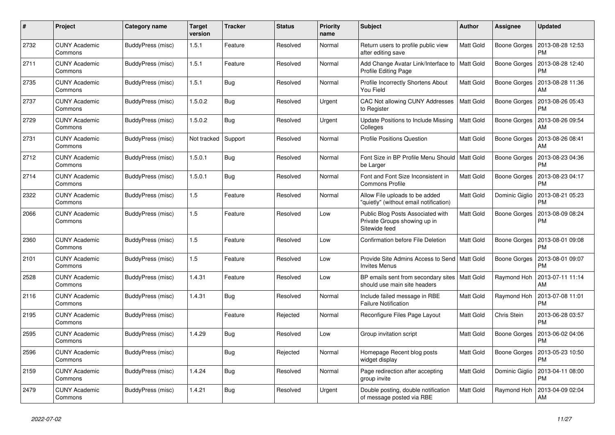| #    | Project                         | <b>Category name</b> | <b>Target</b><br>version | <b>Tracker</b> | <b>Status</b> | <b>Priority</b><br>name | <b>Subject</b>                                                                     | <b>Author</b>    | <b>Assignee</b> | <b>Updated</b>                |
|------|---------------------------------|----------------------|--------------------------|----------------|---------------|-------------------------|------------------------------------------------------------------------------------|------------------|-----------------|-------------------------------|
| 2732 | <b>CUNY Academic</b><br>Commons | BuddyPress (misc)    | 1.5.1                    | Feature        | Resolved      | Normal                  | Return users to profile public view<br>after editing save                          | <b>Matt Gold</b> | Boone Gorges    | 2013-08-28 12:53<br><b>PM</b> |
| 2711 | <b>CUNY Academic</b><br>Commons | BuddyPress (misc)    | 1.5.1                    | Feature        | Resolved      | Normal                  | Add Change Avatar Link/Interface to<br>Profile Editing Page                        | Matt Gold        | Boone Gorges    | 2013-08-28 12:40<br><b>PM</b> |
| 2735 | <b>CUNY Academic</b><br>Commons | BuddyPress (misc)    | 1.5.1                    | <b>Bug</b>     | Resolved      | Normal                  | Profile Incorrectly Shortens About<br>You Field                                    | <b>Matt Gold</b> | Boone Gorges    | 2013-08-28 11:36<br>AM        |
| 2737 | <b>CUNY Academic</b><br>Commons | BuddyPress (misc)    | 1.5.0.2                  | Bug            | Resolved      | Urgent                  | CAC Not allowing CUNY Addresses<br>to Register                                     | <b>Matt Gold</b> | Boone Gorges    | 2013-08-26 05:43<br><b>PM</b> |
| 2729 | <b>CUNY Academic</b><br>Commons | BuddyPress (misc)    | 1.5.0.2                  | Bug            | Resolved      | Urgent                  | Update Positions to Include Missing<br>Colleges                                    | Matt Gold        | Boone Gorges    | 2013-08-26 09:54<br>AM        |
| 2731 | <b>CUNY Academic</b><br>Commons | BuddyPress (misc)    | Not tracked              | Support        | Resolved      | Normal                  | <b>Profile Positions Question</b>                                                  | <b>Matt Gold</b> | Boone Gorges    | 2013-08-26 08:41<br>AM        |
| 2712 | <b>CUNY Academic</b><br>Commons | BuddyPress (misc)    | 1.5.0.1                  | Bug            | Resolved      | Normal                  | Font Size in BP Profile Menu Should   Matt Gold<br>be Larger                       |                  | Boone Gorges    | 2013-08-23 04:36<br><b>PM</b> |
| 2714 | <b>CUNY Academic</b><br>Commons | BuddyPress (misc)    | 1.5.0.1                  | Bug            | Resolved      | Normal                  | Font and Font Size Inconsistent in<br><b>Commons Profile</b>                       | <b>Matt Gold</b> | Boone Gorges    | 2013-08-23 04:17<br><b>PM</b> |
| 2322 | <b>CUNY Academic</b><br>Commons | BuddyPress (misc)    | 1.5                      | Feature        | Resolved      | Normal                  | Allow File uploads to be added<br>"quietly" (without email notification)           | Matt Gold        | Dominic Giglio  | 2013-08-21 05:23<br><b>PM</b> |
| 2066 | <b>CUNY Academic</b><br>Commons | BuddyPress (misc)    | 1.5                      | Feature        | Resolved      | Low                     | Public Blog Posts Associated with<br>Private Groups showing up in<br>Sitewide feed | Matt Gold        | Boone Gorges    | 2013-08-09 08:24<br><b>PM</b> |
| 2360 | <b>CUNY Academic</b><br>Commons | BuddyPress (misc)    | 1.5                      | Feature        | Resolved      | Low                     | Confirmation before File Deletion                                                  | Matt Gold        | Boone Gorges    | 2013-08-01 09:08<br><b>PM</b> |
| 2101 | <b>CUNY Academic</b><br>Commons | BuddyPress (misc)    | $1.5$                    | Feature        | Resolved      | Low                     | Provide Site Admins Access to Send   Matt Gold<br><b>Invites Menus</b>             |                  | Boone Gorges    | 2013-08-01 09:07<br><b>PM</b> |
| 2528 | <b>CUNY Academic</b><br>Commons | BuddyPress (misc)    | 1.4.31                   | Feature        | Resolved      | Low                     | BP emails sent from secondary sites   Matt Gold<br>should use main site headers    |                  | Raymond Hoh     | 2013-07-11 11:14<br>AM        |
| 2116 | <b>CUNY Academic</b><br>Commons | BuddyPress (misc)    | 1.4.31                   | <b>Bug</b>     | Resolved      | Normal                  | Include failed message in RBE<br><b>Failure Notification</b>                       | Matt Gold        | Raymond Hoh     | 2013-07-08 11:01<br><b>PM</b> |
| 2195 | <b>CUNY Academic</b><br>Commons | BuddyPress (misc)    |                          | Feature        | Rejected      | Normal                  | Reconfigure Files Page Layout                                                      | <b>Matt Gold</b> | Chris Stein     | 2013-06-28 03:57<br><b>PM</b> |
| 2595 | <b>CUNY Academic</b><br>Commons | BuddyPress (misc)    | 1.4.29                   | <b>Bug</b>     | Resolved      | Low                     | Group invitation script                                                            | Matt Gold        | Boone Gorges    | 2013-06-02 04:06<br><b>PM</b> |
| 2596 | <b>CUNY Academic</b><br>Commons | BuddyPress (misc)    |                          | Bug            | Rejected      | Normal                  | Homepage Recent blog posts<br>widget display                                       | Matt Gold        | Boone Gorges    | 2013-05-23 10:50<br><b>PM</b> |
| 2159 | <b>CUNY Academic</b><br>Commons | BuddyPress (misc)    | 1.4.24                   | Bug            | Resolved      | Normal                  | Page redirection after accepting<br>group invite                                   | Matt Gold        | Dominic Giglio  | 2013-04-11 08:00<br><b>PM</b> |
| 2479 | <b>CUNY Academic</b><br>Commons | BuddyPress (misc)    | 1.4.21                   | Bug            | Resolved      | Urgent                  | Double posting, double notification<br>of message posted via RBE                   | <b>Matt Gold</b> | Raymond Hoh     | 2013-04-09 02:04<br>AM        |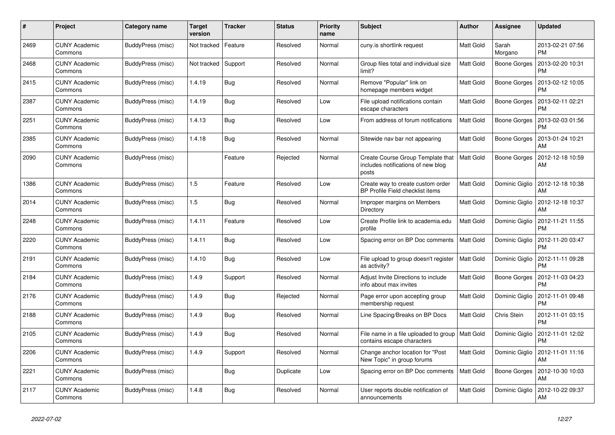| #    | Project                         | Category name     | <b>Target</b><br>version | <b>Tracker</b> | <b>Status</b> | <b>Priority</b><br>name | <b>Subject</b>                                                                   | <b>Author</b>    | <b>Assignee</b>     | <b>Updated</b>                |
|------|---------------------------------|-------------------|--------------------------|----------------|---------------|-------------------------|----------------------------------------------------------------------------------|------------------|---------------------|-------------------------------|
| 2469 | <b>CUNY Academic</b><br>Commons | BuddyPress (misc) | Not tracked              | Feature        | Resolved      | Normal                  | cuny.is shortlink request                                                        | Matt Gold        | Sarah<br>Morgano    | 2013-02-21 07:56<br><b>PM</b> |
| 2468 | <b>CUNY Academic</b><br>Commons | BuddyPress (misc) | Not tracked              | Support        | Resolved      | Normal                  | Group files total and individual size<br>limit?                                  | Matt Gold        | <b>Boone Gorges</b> | 2013-02-20 10:31<br>PM        |
| 2415 | <b>CUNY Academic</b><br>Commons | BuddyPress (misc) | 1.4.19                   | Bug            | Resolved      | Normal                  | Remove "Popular" link on<br>homepage members widget                              | Matt Gold        | Boone Gorges        | 2013-02-12 10:05<br>PM        |
| 2387 | <b>CUNY Academic</b><br>Commons | BuddyPress (misc) | 1.4.19                   | <b>Bug</b>     | Resolved      | Low                     | File upload notifications contain<br>escape characters                           | Matt Gold        | Boone Gorges        | 2013-02-11 02:21<br>PM        |
| 2251 | <b>CUNY Academic</b><br>Commons | BuddyPress (misc) | 1.4.13                   | Bug            | Resolved      | Low                     | From address of forum notifications                                              | Matt Gold        | Boone Gorges        | 2013-02-03 01:56<br><b>PM</b> |
| 2385 | <b>CUNY Academic</b><br>Commons | BuddyPress (misc) | 1.4.18                   | Bug            | Resolved      | Normal                  | Sitewide nav bar not appearing                                                   | Matt Gold        | Boone Gorges        | 2013-01-24 10:21<br>AM        |
| 2090 | <b>CUNY Academic</b><br>Commons | BuddyPress (misc) |                          | Feature        | Rejected      | Normal                  | Create Course Group Template that<br>includes notifications of new blog<br>posts | <b>Matt Gold</b> | Boone Gorges        | 2012-12-18 10:59<br>AM        |
| 1386 | <b>CUNY Academic</b><br>Commons | BuddyPress (misc) | 1.5                      | Feature        | Resolved      | Low                     | Create way to create custom order<br>BP Profile Field checklist items            | Matt Gold        | Dominic Giglio      | 2012-12-18 10:38<br>AM        |
| 2014 | <b>CUNY Academic</b><br>Commons | BuddyPress (misc) | 1.5                      | Bug            | Resolved      | Normal                  | Improper margins on Members<br>Directory                                         | Matt Gold        | Dominic Giglio      | 2012-12-18 10:37<br>AM        |
| 2248 | <b>CUNY Academic</b><br>Commons | BuddyPress (misc) | 1.4.11                   | Feature        | Resolved      | Low                     | Create Profile link to academia.edu<br>profile                                   | Matt Gold        | Dominic Giglio      | 2012-11-21 11:55<br><b>PM</b> |
| 2220 | <b>CUNY Academic</b><br>Commons | BuddyPress (misc) | 1.4.11                   | <b>Bug</b>     | Resolved      | Low                     | Spacing error on BP Doc comments                                                 | <b>Matt Gold</b> | Dominic Giglio      | 2012-11-20 03:47<br><b>PM</b> |
| 2191 | <b>CUNY Academic</b><br>Commons | BuddyPress (misc) | 1.4.10                   | <b>Bug</b>     | Resolved      | Low                     | File upload to group doesn't register<br>as activity?                            | <b>Matt Gold</b> | Dominic Giglio      | 2012-11-11 09:28<br><b>PM</b> |
| 2184 | <b>CUNY Academic</b><br>Commons | BuddyPress (misc) | 1.4.9                    | Support        | Resolved      | Normal                  | Adjust Invite Directions to include<br>info about max invites                    | Matt Gold        | Boone Gorges        | 2012-11-03 04:23<br><b>PM</b> |
| 2176 | <b>CUNY Academic</b><br>Commons | BuddyPress (misc) | 1.4.9                    | <b>Bug</b>     | Rejected      | Normal                  | Page error upon accepting group<br>membership request                            | Matt Gold        | Dominic Giglio      | 2012-11-01 09:48<br><b>PM</b> |
| 2188 | <b>CUNY Academic</b><br>Commons | BuddyPress (misc) | 1.4.9                    | <b>Bug</b>     | Resolved      | Normal                  | Line Spacing/Breaks on BP Docs                                                   | <b>Matt Gold</b> | Chris Stein         | 2012-11-01 03:15<br><b>PM</b> |
| 2105 | <b>CUNY Academic</b><br>Commons | BuddyPress (misc) | 1.4.9                    | <b>Bug</b>     | Resolved      | Normal                  | File name in a file uploaded to group<br>contains escape characters              | <b>Matt Gold</b> | Dominic Giglio      | 2012-11-01 12:02<br><b>PM</b> |
| 2206 | <b>CUNY Academic</b><br>Commons | BuddyPress (misc) | 1.4.9                    | Support        | Resolved      | Normal                  | Change anchor location for "Post"<br>New Topic" in group forums                  | Matt Gold        | Dominic Giglio      | 2012-11-01 11:16<br>AM        |
| 2221 | <b>CUNY Academic</b><br>Commons | BuddyPress (misc) |                          | Bug            | Duplicate     | Low                     | Spacing error on BP Doc comments                                                 | <b>Matt Gold</b> | Boone Gorges        | 2012-10-30 10:03<br>AM        |
| 2117 | <b>CUNY Academic</b><br>Commons | BuddyPress (misc) | 1.4.8                    | Bug            | Resolved      | Normal                  | User reports double notification of<br>announcements                             | Matt Gold        | Dominic Giglio      | 2012-10-22 09:37<br>AM        |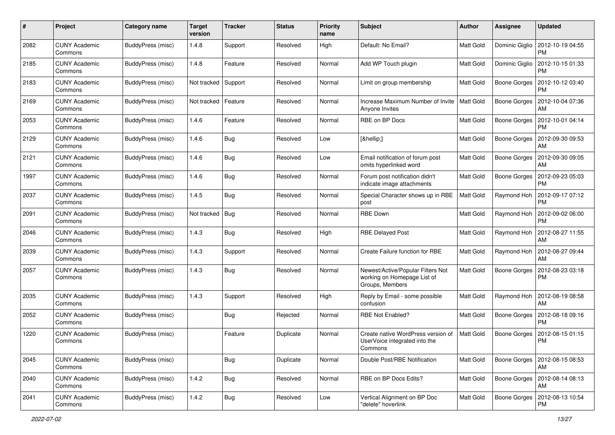| #    | Project                         | Category name            | <b>Target</b><br>version | <b>Tracker</b> | <b>Status</b> | <b>Priority</b><br>name | <b>Subject</b>                                                                      | Author           | <b>Assignee</b>     | <b>Updated</b>                        |
|------|---------------------------------|--------------------------|--------------------------|----------------|---------------|-------------------------|-------------------------------------------------------------------------------------|------------------|---------------------|---------------------------------------|
| 2082 | <b>CUNY Academic</b><br>Commons | BuddyPress (misc)        | 1.4.8                    | Support        | Resolved      | High                    | Default: No Email?                                                                  | Matt Gold        | Dominic Giglio      | 2012-10-19 04:55<br>PM                |
| 2185 | <b>CUNY Academic</b><br>Commons | BuddyPress (misc)        | 1.4.8                    | Feature        | Resolved      | Normal                  | Add WP Touch plugin                                                                 | Matt Gold        | Dominic Giglio      | 2012-10-15 01:33<br><b>PM</b>         |
| 2183 | CUNY Academic<br>Commons        | BuddyPress (misc)        | Not tracked              | Support        | Resolved      | Normal                  | Limit on group membership                                                           | <b>Matt Gold</b> | Boone Gorges        | 2012-10-12 03:40<br>PM                |
| 2169 | <b>CUNY Academic</b><br>Commons | <b>BuddyPress</b> (misc) | Not tracked              | Feature        | Resolved      | Normal                  | Increase Maximum Number of Invite<br>Anyone Invites                                 | Matt Gold        | <b>Boone Gorges</b> | 2012-10-04 07:36<br>AM                |
| 2053 | <b>CUNY Academic</b><br>Commons | BuddyPress (misc)        | 1.4.6                    | Feature        | Resolved      | Normal                  | <b>RBE on BP Docs</b>                                                               | <b>Matt Gold</b> | <b>Boone Gorges</b> | 2012-10-01 04:14<br><b>PM</b>         |
| 2129 | <b>CUNY Academic</b><br>Commons | <b>BuddyPress (misc)</b> | 1.4.6                    | Bug            | Resolved      | Low                     | […]                                                                                 | Matt Gold        | Boone Gorges        | 2012-09-30 09:53<br>AM                |
| 2121 | <b>CUNY Academic</b><br>Commons | <b>BuddyPress (misc)</b> | 1.4.6                    | Bug            | Resolved      | Low                     | Email notification of forum post<br>omits hyperlinked word                          | Matt Gold        | Boone Gorges        | 2012-09-30 09:05<br>AM                |
| 1997 | <b>CUNY Academic</b><br>Commons | BuddyPress (misc)        | 1.4.6                    | Bug            | Resolved      | Normal                  | Forum post notification didn't<br>indicate image attachments                        | Matt Gold        | Boone Gorges        | 2012-09-23 05:03<br>PM                |
| 2037 | <b>CUNY Academic</b><br>Commons | BuddyPress (misc)        | 1.4.5                    | <b>Bug</b>     | Resolved      | Normal                  | Special Character shows up in RBE<br>post                                           | Matt Gold        | Raymond Hoh         | 2012-09-17 07:12<br><b>PM</b>         |
| 2091 | <b>CUNY Academic</b><br>Commons | BuddyPress (misc)        | Not tracked              | Bug            | Resolved      | Normal                  | <b>RBE Down</b>                                                                     | <b>Matt Gold</b> | Raymond Hoh         | 2012-09-02 06:00<br><b>PM</b>         |
| 2046 | <b>CUNY Academic</b><br>Commons | BuddyPress (misc)        | 1.4.3                    | Bug            | Resolved      | High                    | <b>RBE Delayed Post</b>                                                             | <b>Matt Gold</b> | Raymond Hoh         | 2012-08-27 11:55<br>AM                |
| 2039 | <b>CUNY Academic</b><br>Commons | <b>BuddyPress (misc)</b> | 1.4.3                    | Support        | Resolved      | Normal                  | Create Failure function for RBE                                                     | Matt Gold        | Raymond Hoh         | 2012-08-27 09:44<br>AM                |
| 2057 | <b>CUNY Academic</b><br>Commons | BuddyPress (misc)        | 1.4.3                    | Bug            | Resolved      | Normal                  | Newest/Active/Popular Filters Not<br>working on Homepage List of<br>Groups, Members | Matt Gold        | Boone Gorges        | 2012-08-23 03:18<br><b>PM</b>         |
| 2035 | <b>CUNY Academic</b><br>Commons | <b>BuddyPress (misc)</b> | 1.4.3                    | Support        | Resolved      | High                    | Reply by Email - some possible<br>confusion                                         | <b>Matt Gold</b> | Raymond Hoh         | 2012-08-19 08:58<br>AM                |
| 2052 | <b>CUNY Academic</b><br>Commons | <b>BuddyPress (misc)</b> |                          | Bug            | Rejected      | Normal                  | <b>RBE Not Enabled?</b>                                                             | Matt Gold        | Boone Gorges        | 2012-08-18 09:16<br><b>PM</b>         |
| 1220 | <b>CUNY Academic</b><br>Commons | <b>BuddyPress</b> (misc) |                          | Feature        | Duplicate     | Normal                  | Create native WordPress version of<br>UserVoice integrated into the<br>Commons      | <b>Matt Gold</b> | <b>Boone Gorges</b> | 2012-08-15 01:15<br>PM                |
| 2045 | <b>CUNY Academic</b><br>Commons | BuddyPress (misc)        |                          | Bug            | Duplicate     | Normal                  | Double Post/RBE Notification                                                        | Matt Gold        |                     | Boone Gorges   2012-08-15 08:53<br>AM |
| 2040 | <b>CUNY Academic</b><br>Commons | BuddyPress (misc)        | 1.4.2                    | <b>Bug</b>     | Resolved      | Normal                  | RBE on BP Docs Edits?                                                               | Matt Gold        |                     | Boone Gorges   2012-08-14 08:13<br>AM |
| 2041 | <b>CUNY Academic</b><br>Commons | BuddyPress (misc)        | 1.4.2                    | Bug            | Resolved      | Low                     | Vertical Alignment on BP Doc<br>"delete" hoverlink                                  | Matt Gold        |                     | Boone Gorges   2012-08-13 10:54<br>PM |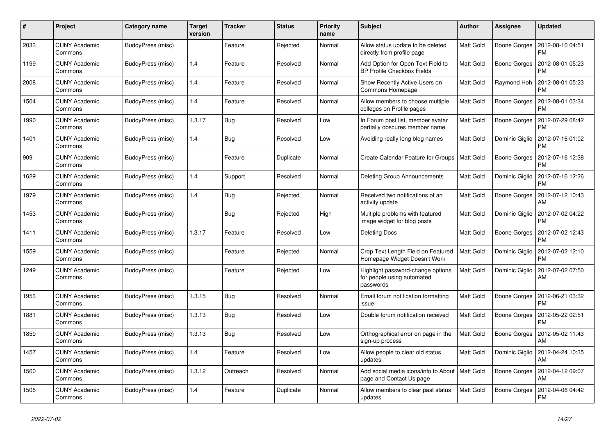| #    | Project                         | Category name     | <b>Target</b><br>version | <b>Tracker</b> | <b>Status</b> | <b>Priority</b><br>name | <b>Subject</b>                                                               | <b>Author</b>    | <b>Assignee</b> | <b>Updated</b>                |
|------|---------------------------------|-------------------|--------------------------|----------------|---------------|-------------------------|------------------------------------------------------------------------------|------------------|-----------------|-------------------------------|
| 2033 | <b>CUNY Academic</b><br>Commons | BuddyPress (misc) |                          | Feature        | Rejected      | Normal                  | Allow status update to be deleted<br>directly from profile page              | <b>Matt Gold</b> | Boone Gorges    | 2012-08-10 04:51<br><b>PM</b> |
| 1199 | <b>CUNY Academic</b><br>Commons | BuddyPress (misc) | 1.4                      | Feature        | Resolved      | Normal                  | Add Option for Open Text Field to<br><b>BP Profile Checkbox Fields</b>       | Matt Gold        | Boone Gorges    | 2012-08-01 05:23<br>PM        |
| 2008 | <b>CUNY Academic</b><br>Commons | BuddyPress (misc) | 1.4                      | Feature        | Resolved      | Normal                  | Show Recently Active Users on<br>Commons Homepage                            | Matt Gold        | Raymond Hoh     | 2012-08-01 05:23<br>PM        |
| 1504 | <b>CUNY Academic</b><br>Commons | BuddyPress (misc) | 1.4                      | Feature        | Resolved      | Normal                  | Allow members to choose multiple<br>colleges on Profile pages                | Matt Gold        | Boone Gorges    | 2012-08-01 03:34<br><b>PM</b> |
| 1990 | <b>CUNY Academic</b><br>Commons | BuddyPress (misc) | 1.3.17                   | Bug            | Resolved      | Low                     | In Forum post list, member avatar<br>partially obscures member name          | Matt Gold        | Boone Gorges    | 2012-07-29 08:42<br>PM        |
| 1401 | <b>CUNY Academic</b><br>Commons | BuddyPress (misc) | 1.4                      | <b>Bug</b>     | Resolved      | Low                     | Avoiding really long blog names                                              | Matt Gold        | Dominic Giglio  | 2012-07-16 01:02<br><b>PM</b> |
| 909  | <b>CUNY Academic</b><br>Commons | BuddyPress (misc) |                          | Feature        | Duplicate     | Normal                  | Create Calendar Feature for Groups                                           | Matt Gold        | Boone Gorges    | 2012-07-16 12:38<br><b>PM</b> |
| 1629 | <b>CUNY Academic</b><br>Commons | BuddyPress (misc) | 1.4                      | Support        | Resolved      | Normal                  | <b>Deleting Group Announcements</b>                                          | Matt Gold        | Dominic Giglio  | 2012-07-16 12:26<br><b>PM</b> |
| 1979 | <b>CUNY Academic</b><br>Commons | BuddyPress (misc) | 1.4                      | <b>Bug</b>     | Rejected      | Normal                  | Received two notifications of an<br>activity update                          | <b>Matt Gold</b> | Boone Gorges    | 2012-07-12 10:43<br>AM        |
| 1453 | <b>CUNY Academic</b><br>Commons | BuddyPress (misc) |                          | <b>Bug</b>     | Rejected      | High                    | Multiple problems with featured<br>image widget for blog posts               | Matt Gold        | Dominic Giglio  | 2012-07-02 04:22<br><b>PM</b> |
| 1411 | <b>CUNY Academic</b><br>Commons | BuddyPress (misc) | 1.3.17                   | Feature        | Resolved      | Low                     | <b>Deleting Docs</b>                                                         | Matt Gold        | Boone Gorges    | 2012-07-02 12:43<br>PM        |
| 1559 | <b>CUNY Academic</b><br>Commons | BuddyPress (misc) |                          | Feature        | Rejected      | Normal                  | Crop Text Length Field on Featured<br>Homepage Widget Doesn't Work           | <b>Matt Gold</b> | Dominic Giglio  | 2012-07-02 12:10<br><b>PM</b> |
| 1249 | <b>CUNY Academic</b><br>Commons | BuddyPress (misc) |                          | Feature        | Rejected      | Low                     | Highlight password-change options<br>for people using automated<br>passwords | Matt Gold        | Dominic Giglio  | 2012-07-02 07:50<br>AM        |
| 1953 | <b>CUNY Academic</b><br>Commons | BuddyPress (misc) | 1.3.15                   | Bug            | Resolved      | Normal                  | Email forum notification formatting<br>issue                                 | Matt Gold        | Boone Gorges    | 2012-06-21 03:32<br><b>PM</b> |
| 1881 | <b>CUNY Academic</b><br>Commons | BuddyPress (misc) | 1.3.13                   | <b>Bug</b>     | Resolved      | Low                     | Double forum notification received                                           | Matt Gold        | Boone Gorges    | 2012-05-22 02:51<br><b>PM</b> |
| 1859 | <b>CUNY Academic</b><br>Commons | BuddyPress (misc) | 1.3.13                   | <b>Bug</b>     | Resolved      | Low                     | Orthographical error on page in the<br>sign-up process                       | Matt Gold        | Boone Gorges    | 2012-05-02 11:43<br>AM        |
| 1457 | <b>CUNY Academic</b><br>Commons | BuddyPress (misc) | 1.4                      | Feature        | Resolved      | Low                     | Allow people to clear old status<br>updates                                  | Matt Gold        | Dominic Giglio  | 2012-04-24 10:35<br>AM        |
| 1560 | <b>CUNY Academic</b><br>Commons | BuddyPress (misc) | 1.3.12                   | Outreach       | Resolved      | Normal                  | Add social media icons/info to About   Matt Gold<br>page and Contact Us page |                  | Boone Gorges    | 2012-04-12 09:07<br>AM        |
| 1505 | <b>CUNY Academic</b><br>Commons | BuddyPress (misc) | 1.4                      | Feature        | Duplicate     | Normal                  | Allow members to clear past status<br>updates                                | Matt Gold        | Boone Gorges    | 2012-04-06 04:42<br><b>PM</b> |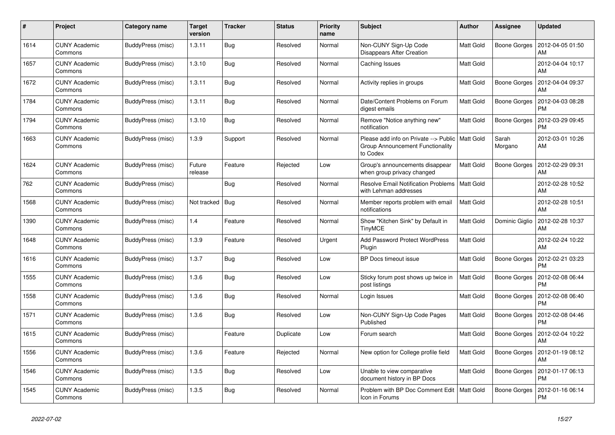| #    | Project                         | Category name     | <b>Target</b><br>version | <b>Tracker</b> | <b>Status</b> | <b>Priority</b><br>name | <b>Subject</b>                                                                        | <b>Author</b>    | <b>Assignee</b>     | <b>Updated</b>                        |
|------|---------------------------------|-------------------|--------------------------|----------------|---------------|-------------------------|---------------------------------------------------------------------------------------|------------------|---------------------|---------------------------------------|
| 1614 | <b>CUNY Academic</b><br>Commons | BuddyPress (misc) | 1.3.11                   | <b>Bug</b>     | Resolved      | Normal                  | Non-CUNY Sign-Up Code<br>Disappears After Creation                                    | <b>Matt Gold</b> |                     | Boone Gorges   2012-04-05 01:50<br>AM |
| 1657 | <b>CUNY Academic</b><br>Commons | BuddyPress (misc) | 1.3.10                   | <b>Bug</b>     | Resolved      | Normal                  | Caching Issues                                                                        | Matt Gold        |                     | 2012-04-04 10:17<br>AM                |
| 1672 | <b>CUNY Academic</b><br>Commons | BuddyPress (misc) | 1.3.11                   | Bug            | Resolved      | Normal                  | Activity replies in groups                                                            | Matt Gold        | Boone Gorges        | 2012-04-04 09:37<br>AM                |
| 1784 | <b>CUNY Academic</b><br>Commons | BuddyPress (misc) | 1.3.11                   | Bug            | Resolved      | Normal                  | Date/Content Problems on Forum<br>digest emails                                       | Matt Gold        | Boone Gorges        | 2012-04-03 08:28<br><b>PM</b>         |
| 1794 | <b>CUNY Academic</b><br>Commons | BuddyPress (misc) | 1.3.10                   | <b>Bug</b>     | Resolved      | Normal                  | Remove "Notice anything new"<br>notification                                          | Matt Gold        | Boone Gorges        | 2012-03-29 09:45<br><b>PM</b>         |
| 1663 | <b>CUNY Academic</b><br>Commons | BuddyPress (misc) | 1.3.9                    | Support        | Resolved      | Normal                  | Please add info on Private --> Public<br>Group Announcement Functionality<br>to Codex | <b>Matt Gold</b> | Sarah<br>Morgano    | 2012-03-01 10:26<br>AM                |
| 1624 | <b>CUNY Academic</b><br>Commons | BuddyPress (misc) | Future<br>release        | Feature        | Rejected      | Low                     | Group's announcements disappear<br>when group privacy changed                         | <b>Matt Gold</b> | Boone Gorges        | 2012-02-29 09:31<br>AM                |
| 762  | <b>CUNY Academic</b><br>Commons | BuddyPress (misc) |                          | <b>Bug</b>     | Resolved      | Normal                  | <b>Resolve Email Notification Problems</b><br>with Lehman addresses                   | Matt Gold        |                     | 2012-02-28 10:52<br>AM                |
| 1568 | <b>CUNY Academic</b><br>Commons | BuddyPress (misc) | Not tracked              | <b>Bug</b>     | Resolved      | Normal                  | Member reports problem with email<br>notifications                                    | <b>Matt Gold</b> |                     | 2012-02-28 10:51<br>AM                |
| 1390 | <b>CUNY Academic</b><br>Commons | BuddyPress (misc) | 1.4                      | Feature        | Resolved      | Normal                  | Show "Kitchen Sink" by Default in<br><b>TinyMCE</b>                                   | <b>Matt Gold</b> | Dominic Giglio      | 2012-02-28 10:37<br>AM                |
| 1648 | <b>CUNY Academic</b><br>Commons | BuddyPress (misc) | 1.3.9                    | Feature        | Resolved      | Urgent                  | Add Password Protect WordPress<br>Plugin                                              | Matt Gold        |                     | 2012-02-24 10:22<br>AM                |
| 1616 | <b>CUNY Academic</b><br>Commons | BuddyPress (misc) | 1.3.7                    | <b>Bug</b>     | Resolved      | Low                     | BP Docs timeout issue                                                                 | Matt Gold        | Boone Gorges        | 2012-02-21 03:23<br><b>PM</b>         |
| 1555 | <b>CUNY Academic</b><br>Commons | BuddyPress (misc) | 1.3.6                    | Bug            | Resolved      | Low                     | Sticky forum post shows up twice in<br>post listings                                  | Matt Gold        | Boone Gorges        | 2012-02-08 06:44<br><b>PM</b>         |
| 1558 | <b>CUNY Academic</b><br>Commons | BuddyPress (misc) | 1.3.6                    | <b>Bug</b>     | Resolved      | Normal                  | Login Issues                                                                          | Matt Gold        | Boone Gorges        | 2012-02-08 06:40<br><b>PM</b>         |
| 1571 | <b>CUNY Academic</b><br>Commons | BuddyPress (misc) | 1.3.6                    | <b>Bug</b>     | Resolved      | Low                     | Non-CUNY Sign-Up Code Pages<br>Published                                              | Matt Gold        | Boone Gorges        | 2012-02-08 04:46<br><b>PM</b>         |
| 1615 | <b>CUNY Academic</b><br>Commons | BuddyPress (misc) |                          | Feature        | Duplicate     | Low                     | Forum search                                                                          | <b>Matt Gold</b> | <b>Boone Gorges</b> | 2012-02-04 10:22<br>AM                |
| 1556 | <b>CUNY Academic</b><br>Commons | BuddyPress (misc) | 1.3.6                    | Feature        | Rejected      | Normal                  | New option for College profile field                                                  | Matt Gold        | Boone Gorges        | 2012-01-19 08:12<br>AM                |
| 1546 | <b>CUNY Academic</b><br>Commons | BuddyPress (misc) | 1.3.5                    | <b>Bug</b>     | Resolved      | Low                     | Unable to view comparative<br>document history in BP Docs                             | Matt Gold        | Boone Gorges        | 2012-01-17 06:13<br><b>PM</b>         |
| 1545 | <b>CUNY Academic</b><br>Commons | BuddyPress (misc) | 1.3.5                    | <b>Bug</b>     | Resolved      | Normal                  | Problem with BP Doc Comment Edit<br>Icon in Forums                                    | <b>Matt Gold</b> | Boone Gorges        | 2012-01-16 06:14<br><b>PM</b>         |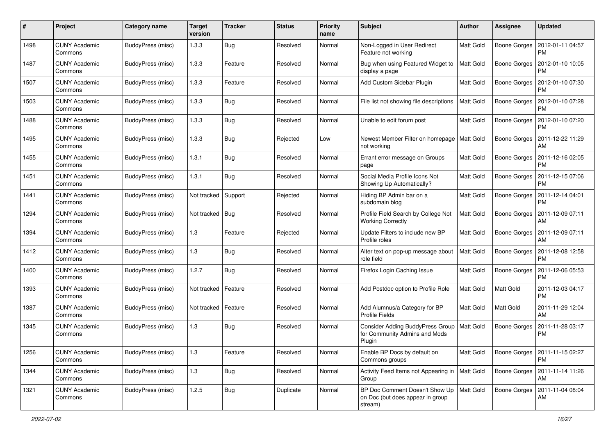| #    | Project                         | Category name            | <b>Target</b><br>version | <b>Tracker</b> | <b>Status</b> | <b>Priority</b><br>name | Subject                                                                       | Author           | <b>Assignee</b>     | <b>Updated</b>                        |
|------|---------------------------------|--------------------------|--------------------------|----------------|---------------|-------------------------|-------------------------------------------------------------------------------|------------------|---------------------|---------------------------------------|
| 1498 | <b>CUNY Academic</b><br>Commons | BuddyPress (misc)        | 1.3.3                    | <b>Bug</b>     | Resolved      | Normal                  | Non-Logged in User Redirect<br>Feature not working                            | Matt Gold        | Boone Gorges        | 2012-01-11 04:57<br>PM                |
| 1487 | <b>CUNY Academic</b><br>Commons | BuddyPress (misc)        | 1.3.3                    | Feature        | Resolved      | Normal                  | Bug when using Featured Widget to<br>display a page                           | <b>Matt Gold</b> | <b>Boone Gorges</b> | 2012-01-10 10:05<br>PM                |
| 1507 | <b>CUNY Academic</b><br>Commons | <b>BuddyPress (misc)</b> | 1.3.3                    | Feature        | Resolved      | Normal                  | Add Custom Sidebar Plugin                                                     | Matt Gold        | Boone Gorges        | 2012-01-10 07:30<br><b>PM</b>         |
| 1503 | <b>CUNY Academic</b><br>Commons | BuddyPress (misc)        | 1.3.3                    | Bug            | Resolved      | Normal                  | File list not showing file descriptions                                       | Matt Gold        | <b>Boone Gorges</b> | 2012-01-10 07:28<br><b>PM</b>         |
| 1488 | <b>CUNY Academic</b><br>Commons | BuddyPress (misc)        | 1.3.3                    | <b>Bug</b>     | Resolved      | Normal                  | Unable to edit forum post                                                     | <b>Matt Gold</b> | Boone Gorges        | 2012-01-10 07:20<br><b>PM</b>         |
| 1495 | <b>CUNY Academic</b><br>Commons | BuddyPress (misc)        | 1.3.3                    | Bug            | Rejected      | Low                     | Newest Member Filter on homepage<br>not working                               | Matt Gold        | Boone Gorges        | 2011-12-22 11:29<br>AM                |
| 1455 | <b>CUNY Academic</b><br>Commons | BuddyPress (misc)        | 1.3.1                    | Bug            | Resolved      | Normal                  | Errant error message on Groups<br>page                                        | Matt Gold        | Boone Gorges        | 2011-12-16 02:05<br><b>PM</b>         |
| 1451 | <b>CUNY Academic</b><br>Commons | BuddyPress (misc)        | 1.3.1                    | Bug            | Resolved      | Normal                  | Social Media Profile Icons Not<br>Showing Up Automatically?                   | Matt Gold        | <b>Boone Gorges</b> | 2011-12-15 07:06<br>PM                |
| 1441 | <b>CUNY Academic</b><br>Commons | BuddyPress (misc)        | Not tracked              | Support        | Rejected      | Normal                  | Hiding BP Admin bar on a<br>subdomain blog                                    | Matt Gold        | Boone Gorges        | 2011-12-14 04:01<br><b>PM</b>         |
| 1294 | <b>CUNY Academic</b><br>Commons | BuddyPress (misc)        | Not tracked              | Bug            | Resolved      | Normal                  | Profile Field Search by College Not<br><b>Working Correctly</b>               | <b>Matt Gold</b> | Boone Gorges        | 2011-12-09 07:11<br>AM                |
| 1394 | <b>CUNY Academic</b><br>Commons | BuddyPress (misc)        | 1.3                      | Feature        | Rejected      | Normal                  | Update Filters to include new BP<br>Profile roles                             | <b>Matt Gold</b> | Boone Gorges        | 2011-12-09 07:11<br>AM                |
| 1412 | <b>CUNY Academic</b><br>Commons | BuddyPress (misc)        | 1.3                      | <b>Bug</b>     | Resolved      | Normal                  | Alter text on pop-up message about<br>role field                              | Matt Gold        | Boone Gorges        | 2011-12-08 12:58<br><b>PM</b>         |
| 1400 | <b>CUNY Academic</b><br>Commons | BuddyPress (misc)        | 1.2.7                    | Bug            | Resolved      | Normal                  | Firefox Login Caching Issue                                                   | <b>Matt Gold</b> | Boone Gorges        | 2011-12-06 05:53<br><b>PM</b>         |
| 1393 | <b>CUNY Academic</b><br>Commons | <b>BuddyPress (misc)</b> | Not tracked              | Feature        | Resolved      | Normal                  | Add Postdoc option to Profile Role                                            | Matt Gold        | Matt Gold           | 2011-12-03 04:17<br><b>PM</b>         |
| 1387 | <b>CUNY Academic</b><br>Commons | BuddyPress (misc)        | Not tracked              | Feature        | Resolved      | Normal                  | Add Alumnus/a Category for BP<br><b>Profile Fields</b>                        | Matt Gold        | Matt Gold           | 2011-11-29 12:04<br>AM                |
| 1345 | <b>CUNY Academic</b><br>Commons | BuddyPress (misc)        | 1.3                      | <b>Bug</b>     | Resolved      | Normal                  | Consider Adding BuddyPress Group<br>for Community Admins and Mods<br>Plugin   | Matt Gold        | Boone Gorges        | 2011-11-28 03:17<br><b>PM</b>         |
| 1256 | <b>CUNY Academic</b><br>Commons | BuddyPress (misc)        | 1.3                      | Feature        | Resolved      | Normal                  | Enable BP Docs by default on<br>Commons groups                                | Matt Gold        |                     | Boone Gorges   2011-11-15 02:27<br>PM |
| 1344 | <b>CUNY Academic</b><br>Commons | BuddyPress (misc)        | 1.3                      | <b>Bug</b>     | Resolved      | Normal                  | Activity Feed Items not Appearing in<br>Group                                 | Matt Gold        |                     | Boone Gorges   2011-11-14 11:26<br>AM |
| 1321 | <b>CUNY Academic</b><br>Commons | BuddyPress (misc)        | 1.2.5                    | <b>Bug</b>     | Duplicate     | Normal                  | BP Doc Comment Doesn't Show Up<br>on Doc (but does appear in group<br>stream) | Matt Gold        | Boone Gorges        | 2011-11-04 08:04<br>AM                |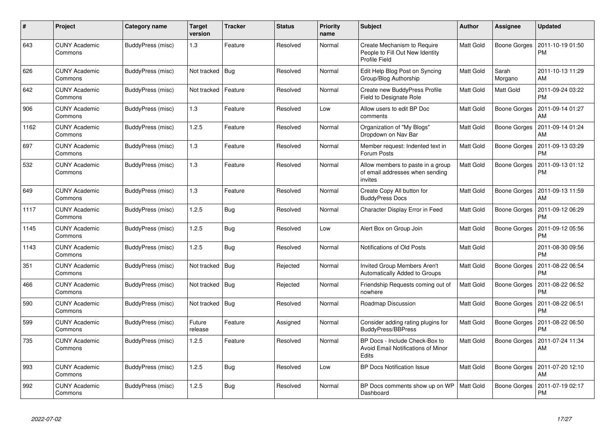| #    | Project                         | Category name            | <b>Target</b><br>version | <b>Tracker</b> | <b>Status</b> | <b>Priority</b><br>name | <b>Subject</b>                                                                       | <b>Author</b>    | Assignee         | <b>Updated</b>                |
|------|---------------------------------|--------------------------|--------------------------|----------------|---------------|-------------------------|--------------------------------------------------------------------------------------|------------------|------------------|-------------------------------|
| 643  | <b>CUNY Academic</b><br>Commons | BuddyPress (misc)        | 1.3                      | Feature        | Resolved      | Normal                  | Create Mechanism to Require<br>People to Fill Out New Identity<br>Profile Field      | Matt Gold        | Boone Gorges     | 2011-10-19 01:50<br><b>PM</b> |
| 626  | <b>CUNY Academic</b><br>Commons | BuddyPress (misc)        | Not tracked   Bug        |                | Resolved      | Normal                  | Edit Help Blog Post on Syncing<br>Group/Blog Authorship                              | Matt Gold        | Sarah<br>Morgano | 2011-10-13 11:29<br>AM        |
| 642  | <b>CUNY Academic</b><br>Commons | BuddyPress (misc)        | Not tracked              | Feature        | Resolved      | Normal                  | <b>Create new BuddyPress Profile</b><br>Field to Designate Role                      | Matt Gold        | Matt Gold        | 2011-09-24 03:22<br><b>PM</b> |
| 906  | <b>CUNY Academic</b><br>Commons | BuddyPress (misc)        | 1.3                      | Feature        | Resolved      | Low                     | Allow users to edit BP Doc<br>comments                                               | Matt Gold        | Boone Gorges     | 2011-09-14 01:27<br>AM        |
| 1162 | CUNY Academic<br>Commons        | BuddyPress (misc)        | 1.2.5                    | Feature        | Resolved      | Normal                  | Organization of "My Blogs"<br>Dropdown on Nav Bar                                    | Matt Gold        | Boone Gorges     | 2011-09-14 01:24<br>AM        |
| 697  | <b>CUNY Academic</b><br>Commons | BuddyPress (misc)        | 1.3                      | Feature        | Resolved      | Normal                  | Member request: Indented text in<br>Forum Posts                                      | Matt Gold        | Boone Gorges     | 2011-09-13 03:29<br><b>PM</b> |
| 532  | CUNY Academic<br>Commons        | BuddyPress (misc)        | 1.3                      | Feature        | Resolved      | Normal                  | Allow members to paste in a group<br>of email addresses when sending<br>invites      | Matt Gold        | Boone Gorges     | 2011-09-13 01:12<br><b>PM</b> |
| 649  | <b>CUNY Academic</b><br>Commons | BuddyPress (misc)        | 1.3                      | Feature        | Resolved      | Normal                  | Create Copy All button for<br><b>BuddyPress Docs</b>                                 | Matt Gold        | Boone Gorges     | 2011-09-13 11:59<br>AM        |
| 1117 | <b>CUNY Academic</b><br>Commons | BuddyPress (misc)        | 1.2.5                    | Bug            | Resolved      | Normal                  | Character Display Error in Feed                                                      | Matt Gold        | Boone Gorges     | 2011-09-12 06:29<br><b>PM</b> |
| 1145 | CUNY Academic<br>Commons        | BuddyPress (misc)        | 1.2.5                    | Bug            | Resolved      | Low                     | Alert Box on Group Join                                                              | Matt Gold        | Boone Gorges     | 2011-09-12 05:56<br><b>PM</b> |
| 1143 | <b>CUNY Academic</b><br>Commons | BuddyPress (misc)        | 1.2.5                    | <b>Bug</b>     | Resolved      | Normal                  | Notifications of Old Posts                                                           | Matt Gold        |                  | 2011-08-30 09:56<br><b>PM</b> |
| 351  | <b>CUNY Academic</b><br>Commons | <b>BuddyPress (misc)</b> | Not tracked              | <b>Bug</b>     | Rejected      | Normal                  | <b>Invited Group Members Aren't</b><br>Automatically Added to Groups                 | Matt Gold        | Boone Gorges     | 2011-08-22 06:54<br><b>PM</b> |
| 466  | CUNY Academic<br>Commons        | BuddyPress (misc)        | Not tracked   Bug        |                | Rejected      | Normal                  | Friendship Requests coming out of<br>nowhere                                         | <b>Matt Gold</b> | Boone Gorges     | 2011-08-22 06:52<br><b>PM</b> |
| 590  | CUNY Academic<br>Commons        | BuddyPress (misc)        | Not tracked   Bug        |                | Resolved      | Normal                  | Roadmap Discussion                                                                   | Matt Gold        | Boone Gorges     | 2011-08-22 06:51<br><b>PM</b> |
| 599  | <b>CUNY Academic</b><br>Commons | BuddyPress (misc)        | Future<br>release        | Feature        | Assigned      | Normal                  | Consider adding rating plugins for<br><b>BuddyPress/BBPress</b>                      | Matt Gold        | Boone Gorges     | 2011-08-22 06:50<br><b>PM</b> |
| 735  | <b>CUNY Academic</b><br>Commons | BuddyPress (misc)        | 1.2.5                    | Feature        | Resolved      | Normal                  | BP Docs - Include Check-Box to<br>Avoid Email Notifications of Minor<br><b>Edits</b> | Matt Gold        | Boone Gorges     | 2011-07-24 11:34<br>AM        |
| 993  | <b>CUNY Academic</b><br>Commons | BuddyPress (misc)        | 1.2.5                    | Bug            | Resolved      | Low                     | <b>BP Docs Notification Issue</b>                                                    | Matt Gold        | Boone Gorges     | 2011-07-20 12:10<br>AM        |
| 992  | CUNY Academic<br>Commons        | BuddyPress (misc)        | 1.2.5                    | Bug            | Resolved      | Normal                  | BP Docs comments show up on WP<br>Dashboard                                          | <b>Matt Gold</b> | Boone Gorges     | 2011-07-19 02:17<br><b>PM</b> |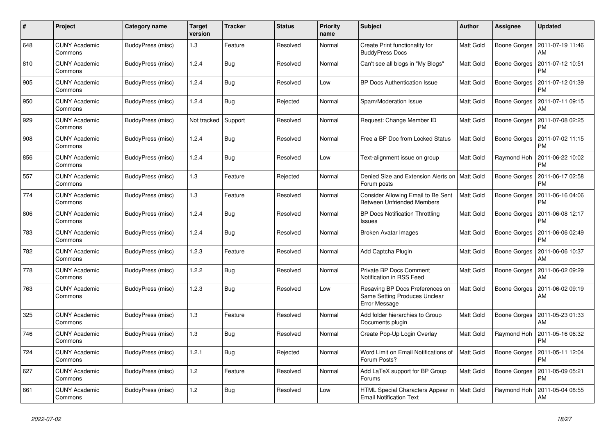| #   | Project                         | Category name     | <b>Target</b><br>version | <b>Tracker</b> | <b>Status</b> | <b>Priority</b><br>name | <b>Subject</b>                                                                    | <b>Author</b>    | <b>Assignee</b> | <b>Updated</b>                |
|-----|---------------------------------|-------------------|--------------------------|----------------|---------------|-------------------------|-----------------------------------------------------------------------------------|------------------|-----------------|-------------------------------|
| 648 | <b>CUNY Academic</b><br>Commons | BuddyPress (misc) | 1.3                      | Feature        | Resolved      | Normal                  | Create Print functionality for<br><b>BuddyPress Docs</b>                          | <b>Matt Gold</b> | Boone Gorges    | 2011-07-19 11:46<br>AM        |
| 810 | <b>CUNY Academic</b><br>Commons | BuddyPress (misc) | 1.2.4                    | <b>Bug</b>     | Resolved      | Normal                  | Can't see all blogs in "My Blogs"                                                 | Matt Gold        | Boone Gorges    | 2011-07-12 10:51<br><b>PM</b> |
| 905 | <b>CUNY Academic</b><br>Commons | BuddyPress (misc) | 1.2.4                    | Bug            | Resolved      | Low                     | <b>BP Docs Authentication Issue</b>                                               | Matt Gold        | Boone Gorges    | 2011-07-12 01:39<br><b>PM</b> |
| 950 | <b>CUNY Academic</b><br>Commons | BuddyPress (misc) | 1.2.4                    | Bug            | Rejected      | Normal                  | Spam/Moderation Issue                                                             | Matt Gold        | Boone Gorges    | 2011-07-11 09:15<br>AM        |
| 929 | <b>CUNY Academic</b><br>Commons | BuddyPress (misc) | Not tracked              | Support        | Resolved      | Normal                  | Request: Change Member ID                                                         | Matt Gold        | Boone Gorges    | 2011-07-08 02:25<br><b>PM</b> |
| 908 | <b>CUNY Academic</b><br>Commons | BuddyPress (misc) | 1.2.4                    | <b>Bug</b>     | Resolved      | Normal                  | Free a BP Doc from Locked Status                                                  | Matt Gold        | Boone Gorges    | 2011-07-02 11:15<br><b>PM</b> |
| 856 | <b>CUNY Academic</b><br>Commons | BuddyPress (misc) | 1.2.4                    | Bug            | Resolved      | Low                     | Text-alignment issue on group                                                     | Matt Gold        | Raymond Hoh     | 2011-06-22 10:02<br><b>PM</b> |
| 557 | <b>CUNY Academic</b><br>Commons | BuddyPress (misc) | 1.3                      | Feature        | Rejected      | Normal                  | Denied Size and Extension Alerts on<br>Forum posts                                | l Matt Gold      | Boone Gorges    | 2011-06-17 02:58<br><b>PM</b> |
| 774 | <b>CUNY Academic</b><br>Commons | BuddyPress (misc) | 1.3                      | Feature        | Resolved      | Normal                  | Consider Allowing Email to Be Sent<br><b>Between Unfriended Members</b>           | Matt Gold        | Boone Gorges    | 2011-06-16 04:06<br><b>PM</b> |
| 806 | <b>CUNY Academic</b><br>Commons | BuddyPress (misc) | 1.2.4                    | Bug            | Resolved      | Normal                  | <b>BP Docs Notification Throttling</b><br><b>Issues</b>                           | Matt Gold        | Boone Gorges    | 2011-06-08 12:17<br><b>PM</b> |
| 783 | <b>CUNY Academic</b><br>Commons | BuddyPress (misc) | 1.2.4                    | <b>Bug</b>     | Resolved      | Normal                  | Broken Avatar Images                                                              | Matt Gold        | Boone Gorges    | 2011-06-06 02:49<br>РM        |
| 782 | <b>CUNY Academic</b><br>Commons | BuddyPress (misc) | 1.2.3                    | Feature        | Resolved      | Normal                  | Add Captcha Plugin                                                                | Matt Gold        | Boone Gorges    | 2011-06-06 10:37<br>AM        |
| 778 | <b>CUNY Academic</b><br>Commons | BuddyPress (misc) | 1.2.2                    | Bug            | Resolved      | Normal                  | Private BP Docs Comment<br>Notification in RSS Feed                               | <b>Matt Gold</b> | Boone Gorges    | 2011-06-02 09:29<br>AM        |
| 763 | <b>CUNY Academic</b><br>Commons | BuddyPress (misc) | 1.2.3                    | Bug            | Resolved      | Low                     | Resaving BP Docs Preferences on<br>Same Setting Produces Unclear<br>Error Message | <b>Matt Gold</b> | Boone Gorges    | 2011-06-02 09:19<br>AM        |
| 325 | <b>CUNY Academic</b><br>Commons | BuddyPress (misc) | 1.3                      | Feature        | Resolved      | Normal                  | Add folder hierarchies to Group<br>Documents plugin                               | <b>Matt Gold</b> | Boone Gorges    | 2011-05-23 01:33<br>AM        |
| 746 | <b>CUNY Academic</b><br>Commons | BuddyPress (misc) | 1.3                      | <b>Bug</b>     | Resolved      | Normal                  | Create Pop-Up Login Overlay                                                       | Matt Gold        | Raymond Hoh     | 2011-05-16 06:32<br><b>PM</b> |
| 724 | <b>CUNY Academic</b><br>Commons | BuddyPress (misc) | 1.2.1                    | Bug            | Rejected      | Normal                  | Word Limit on Email Notifications of<br>Forum Posts?                              | <b>Matt Gold</b> | Boone Gorges    | 2011-05-11 12:04<br><b>PM</b> |
| 627 | <b>CUNY Academic</b><br>Commons | BuddyPress (misc) | 1.2                      | Feature        | Resolved      | Normal                  | Add LaTeX support for BP Group<br>Forums                                          | <b>Matt Gold</b> | Boone Gorges    | 2011-05-09 05:21<br><b>PM</b> |
| 661 | <b>CUNY Academic</b><br>Commons | BuddyPress (misc) | 1.2                      | <b>Bug</b>     | Resolved      | Low                     | HTML Special Characters Appear in<br><b>Email Notification Text</b>               | Matt Gold        | Raymond Hoh     | 2011-05-04 08:55<br>AM        |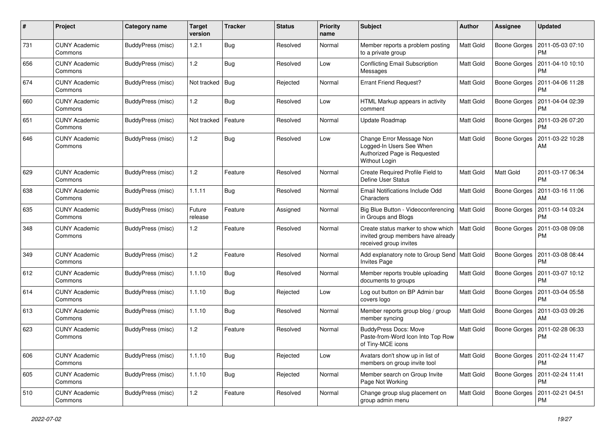| $\#$ | Project                         | Category name            | <b>Target</b><br>version | <b>Tracker</b> | <b>Status</b> | <b>Priority</b><br>name | Subject                                                                                               | Author           | <b>Assignee</b>     | <b>Updated</b>                               |
|------|---------------------------------|--------------------------|--------------------------|----------------|---------------|-------------------------|-------------------------------------------------------------------------------------------------------|------------------|---------------------|----------------------------------------------|
| 731  | <b>CUNY Academic</b><br>Commons | BuddyPress (misc)        | 1.2.1                    | <b>Bug</b>     | Resolved      | Normal                  | Member reports a problem posting<br>to a private group                                                | <b>Matt Gold</b> | Boone Gorges        | 2011-05-03 07:10<br><b>PM</b>                |
| 656  | <b>CUNY Academic</b><br>Commons | BuddyPress (misc)        | 1.2                      | Bug            | Resolved      | Low                     | <b>Conflicting Email Subscription</b><br>Messages                                                     | <b>Matt Gold</b> | Boone Gorges        | 2011-04-10 10:10<br><b>PM</b>                |
| 674  | <b>CUNY Academic</b><br>Commons | BuddyPress (misc)        | Not tracked              | <b>Bug</b>     | Rejected      | Normal                  | <b>Errant Friend Request?</b>                                                                         | Matt Gold        | Boone Gorges        | 2011-04-06 11:28<br><b>PM</b>                |
| 660  | <b>CUNY Academic</b><br>Commons | BuddyPress (misc)        | 1.2                      | <b>Bug</b>     | Resolved      | Low                     | HTML Markup appears in activity<br>comment                                                            | Matt Gold        | <b>Boone Gorges</b> | 2011-04-04 02:39<br><b>PM</b>                |
| 651  | <b>CUNY Academic</b><br>Commons | <b>BuddyPress (misc)</b> | Not tracked              | Feature        | Resolved      | Normal                  | Update Roadmap                                                                                        | <b>Matt Gold</b> | Boone Gorges        | 2011-03-26 07:20<br><b>PM</b>                |
| 646  | <b>CUNY Academic</b><br>Commons | BuddyPress (misc)        | 1.2                      | Bug            | Resolved      | Low                     | Change Error Message Non<br>Logged-In Users See When<br>Authorized Page is Requested<br>Without Login | Matt Gold        | Boone Gorges        | 2011-03-22 10:28<br>AM                       |
| 629  | <b>CUNY Academic</b><br>Commons | BuddyPress (misc)        | 1.2                      | Feature        | Resolved      | Normal                  | Create Required Profile Field to<br>Define User Status                                                | <b>Matt Gold</b> | Matt Gold           | 2011-03-17 06:34<br>PM                       |
| 638  | <b>CUNY Academic</b><br>Commons | BuddyPress (misc)        | 1.1.11                   | Bug            | Resolved      | Normal                  | Email Notifications Include Odd<br>Characters                                                         | <b>Matt Gold</b> | Boone Gorges        | 2011-03-16 11:06<br>AM                       |
| 635  | <b>CUNY Academic</b><br>Commons | <b>BuddyPress (misc)</b> | Future<br>release        | Feature        | Assigned      | Normal                  | Big Blue Button - Videoconferencing   Matt Gold<br>in Groups and Blogs                                |                  | <b>Boone Gorges</b> | 2011-03-14 03:24<br>PM                       |
| 348  | <b>CUNY Academic</b><br>Commons | BuddyPress (misc)        | 1.2                      | Feature        | Resolved      | Normal                  | Create status marker to show which<br>invited group members have already<br>received group invites    | Matt Gold        | <b>Boone Gorges</b> | 2011-03-08 09:08<br><b>PM</b>                |
| 349  | <b>CUNY Academic</b><br>Commons | BuddyPress (misc)        | 1.2                      | Feature        | Resolved      | Normal                  | Add explanatory note to Group Send   Matt Gold<br><b>Invites Page</b>                                 |                  | Boone Gorges        | 2011-03-08 08:44<br><b>PM</b>                |
| 612  | <b>CUNY Academic</b><br>Commons | BuddyPress (misc)        | 1.1.10                   | Bug            | Resolved      | Normal                  | Member reports trouble uploading<br>documents to groups                                               | <b>Matt Gold</b> | Boone Gorges        | 2011-03-07 10:12<br><b>PM</b>                |
| 614  | <b>CUNY Academic</b><br>Commons | BuddyPress (misc)        | 1.1.10                   | Bug            | Rejected      | Low                     | Log out button on BP Admin bar<br>covers logo                                                         | Matt Gold        | <b>Boone Gorges</b> | 2011-03-04 05:58<br><b>PM</b>                |
| 613  | <b>CUNY Academic</b><br>Commons | BuddyPress (misc)        | 1.1.10                   | Bug            | Resolved      | Normal                  | Member reports group blog / group<br>member syncing                                                   | Matt Gold        | Boone Gorges        | 2011-03-03 09:26<br>AM                       |
| 623  | <b>CUNY Academic</b><br>Commons | BuddyPress (misc)        | 1.2                      | Feature        | Resolved      | Normal                  | <b>BuddyPress Docs: Move</b><br>Paste-from-Word Icon Into Top Row<br>of Tiny-MCE icons                | Matt Gold        | <b>Boone Gorges</b> | 2011-02-28 06:33<br><b>PM</b>                |
| 606  | <b>CUNY Academic</b><br>Commons | BuddyPress (misc)        | 1.1.10                   | <b>Bug</b>     | Rejected      | Low                     | Avatars don't show up in list of<br>members on group invite tool                                      | Matt Gold        |                     | Boone Gorges   2011-02-24 11:47<br>PM        |
| 605  | <b>CUNY Academic</b><br>Commons | BuddyPress (misc)        | 1.1.10                   | <b>Bug</b>     | Rejected      | Normal                  | Member search on Group Invite<br>Page Not Working                                                     | Matt Gold        |                     | Boone Gorges   2011-02-24 11:41<br><b>PM</b> |
| 510  | <b>CUNY Academic</b><br>Commons | BuddyPress (misc)        | 1.2                      | Feature        | Resolved      | Normal                  | Change group slug placement on<br>group admin menu                                                    | Matt Gold        |                     | Boone Gorges   2011-02-21 04:51<br>PM        |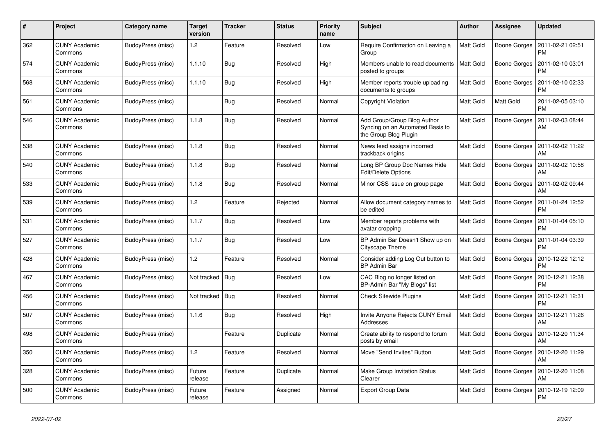| $\#$ | Project                         | Category name     | <b>Target</b><br>version | <b>Tracker</b> | <b>Status</b> | <b>Priority</b><br>name | <b>Subject</b>                                                                           | <b>Author</b>    | <b>Assignee</b> | <b>Updated</b>                |
|------|---------------------------------|-------------------|--------------------------|----------------|---------------|-------------------------|------------------------------------------------------------------------------------------|------------------|-----------------|-------------------------------|
| 362  | <b>CUNY Academic</b><br>Commons | BuddyPress (misc) | 1.2                      | Feature        | Resolved      | Low                     | Require Confirmation on Leaving a<br>Group                                               | <b>Matt Gold</b> | Boone Gorges    | 2011-02-21 02:51<br><b>PM</b> |
| 574  | <b>CUNY Academic</b><br>Commons | BuddyPress (misc) | 1.1.10                   | <b>Bug</b>     | Resolved      | High                    | Members unable to read documents<br>posted to groups                                     | Matt Gold        | Boone Gorges    | 2011-02-10 03:01<br><b>PM</b> |
| 568  | <b>CUNY Academic</b><br>Commons | BuddyPress (misc) | 1.1.10                   | Bug            | Resolved      | High                    | Member reports trouble uploading<br>documents to groups                                  | Matt Gold        | Boone Gorges    | 2011-02-10 02:33<br><b>PM</b> |
| 561  | <b>CUNY Academic</b><br>Commons | BuddyPress (misc) |                          | <b>Bug</b>     | Resolved      | Normal                  | <b>Copyright Violation</b>                                                               | Matt Gold        | Matt Gold       | 2011-02-05 03:10<br><b>PM</b> |
| 546  | <b>CUNY Academic</b><br>Commons | BuddyPress (misc) | 1.1.8                    | <b>Bug</b>     | Resolved      | Normal                  | Add Group/Group Blog Author<br>Syncing on an Automated Basis to<br>the Group Blog Plugin | Matt Gold        | Boone Gorges    | 2011-02-03 08:44<br>AM        |
| 538  | <b>CUNY Academic</b><br>Commons | BuddyPress (misc) | 1.1.8                    | Bug            | Resolved      | Normal                  | News feed assigns incorrect<br>trackback origins                                         | Matt Gold        | Boone Gorges    | 2011-02-02 11:22<br>AM        |
| 540  | <b>CUNY Academic</b><br>Commons | BuddyPress (misc) | 1.1.8                    | <b>Bug</b>     | Resolved      | Normal                  | Long BP Group Doc Names Hide<br>Edit/Delete Options                                      | <b>Matt Gold</b> | Boone Gorges    | 2011-02-02 10:58<br>AM        |
| 533  | <b>CUNY Academic</b><br>Commons | BuddyPress (misc) | 1.1.8                    | <b>Bug</b>     | Resolved      | Normal                  | Minor CSS issue on group page                                                            | Matt Gold        | Boone Gorges    | 2011-02-02 09:44<br>AM        |
| 539  | <b>CUNY Academic</b><br>Commons | BuddyPress (misc) | 1.2                      | Feature        | Rejected      | Normal                  | Allow document category names to<br>be edited                                            | Matt Gold        | Boone Gorges    | 2011-01-24 12:52<br><b>PM</b> |
| 531  | <b>CUNY Academic</b><br>Commons | BuddyPress (misc) | 1.1.7                    | <b>Bug</b>     | Resolved      | Low                     | Member reports problems with<br>avatar cropping                                          | Matt Gold        | Boone Gorges    | 2011-01-04 05:10<br><b>PM</b> |
| 527  | <b>CUNY Academic</b><br>Commons | BuddyPress (misc) | 1.1.7                    | <b>Bug</b>     | Resolved      | Low                     | BP Admin Bar Doesn't Show up on<br>Cityscape Theme                                       | Matt Gold        | Boone Gorges    | 2011-01-04 03:39<br><b>PM</b> |
| 428  | <b>CUNY Academic</b><br>Commons | BuddyPress (misc) | 1.2                      | Feature        | Resolved      | Normal                  | Consider adding Log Out button to<br><b>BP Admin Bar</b>                                 | <b>Matt Gold</b> | Boone Gorges    | 2010-12-22 12:12<br><b>PM</b> |
| 467  | <b>CUNY Academic</b><br>Commons | BuddyPress (misc) | Not tracked              | Bug            | Resolved      | Low                     | CAC Blog no longer listed on<br>BP-Admin Bar "My Blogs" list                             | Matt Gold        | Boone Gorges    | 2010-12-21 12:38<br><b>PM</b> |
| 456  | <b>CUNY Academic</b><br>Commons | BuddyPress (misc) | Not tracked              | Bug            | Resolved      | Normal                  | <b>Check Sitewide Plugins</b>                                                            | Matt Gold        | Boone Gorges    | 2010-12-21 12:31<br><b>PM</b> |
| 507  | <b>CUNY Academic</b><br>Commons | BuddyPress (misc) | 1.1.6                    | <b>Bug</b>     | Resolved      | High                    | Invite Anyone Rejects CUNY Email<br>Addresses                                            | Matt Gold        | Boone Gorges    | 2010-12-21 11:26<br>AM        |
| 498  | <b>CUNY Academic</b><br>Commons | BuddyPress (misc) |                          | Feature        | Duplicate     | Normal                  | Create ability to respond to forum<br>posts by email                                     | Matt Gold        | Boone Gorges    | 2010-12-20 11:34<br>AM        |
| 350  | <b>CUNY Academic</b><br>Commons | BuddyPress (misc) | 1.2                      | Feature        | Resolved      | Normal                  | Move "Send Invites" Button                                                               | Matt Gold        | Boone Gorges    | 2010-12-20 11:29<br>AM        |
| 328  | <b>CUNY Academic</b><br>Commons | BuddyPress (misc) | Future<br>release        | Feature        | Duplicate     | Normal                  | Make Group Invitation Status<br>Clearer                                                  | <b>Matt Gold</b> | Boone Gorges    | 2010-12-20 11:08<br>AM        |
| 500  | <b>CUNY Academic</b><br>Commons | BuddyPress (misc) | Future<br>release        | Feature        | Assigned      | Normal                  | <b>Export Group Data</b>                                                                 | Matt Gold        | Boone Gorges    | 2010-12-19 12:09<br><b>PM</b> |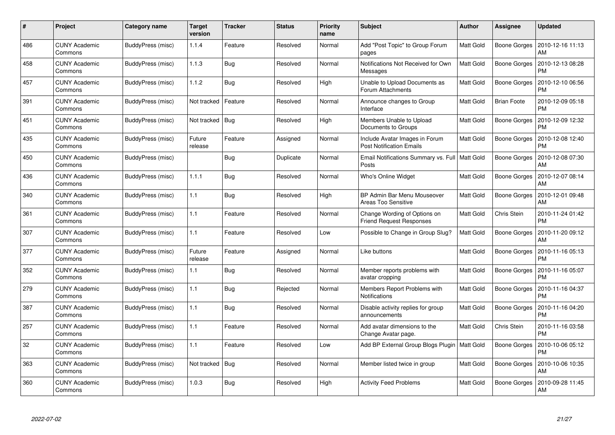| #   | Project                         | Category name     | <b>Target</b><br>version | Tracker    | <b>Status</b> | <b>Priority</b><br>name | <b>Subject</b>                                                    | <b>Author</b>    | <b>Assignee</b>     | <b>Updated</b>                |
|-----|---------------------------------|-------------------|--------------------------|------------|---------------|-------------------------|-------------------------------------------------------------------|------------------|---------------------|-------------------------------|
| 486 | <b>CUNY Academic</b><br>Commons | BuddyPress (misc) | 1.1.4                    | Feature    | Resolved      | Normal                  | Add "Post Topic" to Group Forum<br>pages                          | <b>Matt Gold</b> | Boone Gorges        | 2010-12-16 11:13<br>AM        |
| 458 | <b>CUNY Academic</b><br>Commons | BuddyPress (misc) | 1.1.3                    | Bug        | Resolved      | Normal                  | Notifications Not Received for Own<br>Messages                    | <b>Matt Gold</b> | Boone Gorges        | 2010-12-13 08:28<br><b>PM</b> |
| 457 | <b>CUNY Academic</b><br>Commons | BuddyPress (misc) | 1.1.2                    | Bug        | Resolved      | High                    | Unable to Upload Documents as<br>Forum Attachments                | Matt Gold        | Boone Gorges        | 2010-12-10 06:56<br>PM        |
| 391 | <b>CUNY Academic</b><br>Commons | BuddyPress (misc) | Not tracked              | Feature    | Resolved      | Normal                  | Announce changes to Group<br>Interface                            | Matt Gold        | <b>Brian Foote</b>  | 2010-12-09 05:18<br><b>PM</b> |
| 451 | <b>CUNY Academic</b><br>Commons | BuddyPress (misc) | Not tracked              | Bug        | Resolved      | High                    | Members Unable to Upload<br>Documents to Groups                   | Matt Gold        | <b>Boone Gorges</b> | 2010-12-09 12:32<br><b>PM</b> |
| 435 | <b>CUNY Academic</b><br>Commons | BuddyPress (misc) | Future<br>release        | Feature    | Assigned      | Normal                  | Include Avatar Images in Forum<br><b>Post Notification Emails</b> | Matt Gold        | Boone Gorges        | 2010-12-08 12:40<br><b>PM</b> |
| 450 | <b>CUNY Academic</b><br>Commons | BuddyPress (misc) |                          | <b>Bug</b> | Duplicate     | Normal                  | Email Notifications Summary vs. Full   Matt Gold<br>Posts         |                  | Boone Gorges        | 2010-12-08 07:30<br>AM        |
| 436 | <b>CUNY Academic</b><br>Commons | BuddyPress (misc) | 1.1.1                    | <b>Bug</b> | Resolved      | Normal                  | Who's Online Widget                                               | Matt Gold        | Boone Gorges        | 2010-12-07 08:14<br>AM        |
| 340 | <b>CUNY Academic</b><br>Commons | BuddyPress (misc) | 1.1                      | <b>Bug</b> | Resolved      | High                    | BP Admin Bar Menu Mouseover<br><b>Areas Too Sensitive</b>         | <b>Matt Gold</b> | Boone Gorges        | 2010-12-01 09:48<br>AM        |
| 361 | <b>CUNY Academic</b><br>Commons | BuddyPress (misc) | 1.1                      | Feature    | Resolved      | Normal                  | Change Wording of Options on<br><b>Friend Request Responses</b>   | Matt Gold        | Chris Stein         | 2010-11-24 01:42<br><b>PM</b> |
| 307 | <b>CUNY Academic</b><br>Commons | BuddyPress (misc) | 1.1                      | Feature    | Resolved      | Low                     | Possible to Change in Group Slug?                                 | Matt Gold        | Boone Gorges        | 2010-11-20 09:12<br>AM        |
| 377 | <b>CUNY Academic</b><br>Commons | BuddyPress (misc) | Future<br>release        | Feature    | Assigned      | Normal                  | Like buttons                                                      | Matt Gold        | Boone Gorges        | 2010-11-16 05:13<br><b>PM</b> |
| 352 | <b>CUNY Academic</b><br>Commons | BuddyPress (misc) | 1.1                      | <b>Bug</b> | Resolved      | Normal                  | Member reports problems with<br>avatar cropping                   | <b>Matt Gold</b> | Boone Gorges        | 2010-11-16 05:07<br><b>PM</b> |
| 279 | <b>CUNY Academic</b><br>Commons | BuddyPress (misc) | 1.1                      | <b>Bug</b> | Rejected      | Normal                  | Members Report Problems with<br>Notifications                     | Matt Gold        | Boone Gorges        | 2010-11-16 04:37<br><b>PM</b> |
| 387 | <b>CUNY Academic</b><br>Commons | BuddyPress (misc) | 1.1                      | <b>Bug</b> | Resolved      | Normal                  | Disable activity replies for group<br>announcements               | <b>Matt Gold</b> | Boone Gorges        | 2010-11-16 04:20<br><b>PM</b> |
| 257 | <b>CUNY Academic</b><br>Commons | BuddyPress (misc) | 1.1                      | Feature    | Resolved      | Normal                  | Add avatar dimensions to the<br>Change Avatar page.               | <b>Matt Gold</b> | Chris Stein         | 2010-11-16 03:58<br><b>PM</b> |
| 32  | <b>CUNY Academic</b><br>Commons | BuddyPress (misc) | 1.1                      | Feature    | Resolved      | Low                     | Add BP External Group Blogs Plugin                                | Matt Gold        | Boone Gorges        | 2010-10-06 05:12<br><b>PM</b> |
| 363 | <b>CUNY Academic</b><br>Commons | BuddyPress (misc) | Not tracked              | Bug        | Resolved      | Normal                  | Member listed twice in group                                      | Matt Gold        | Boone Gorges        | 2010-10-06 10:35<br>AM        |
| 360 | CUNY Academic<br>Commons        | BuddyPress (misc) | 1.0.3                    | <b>Bug</b> | Resolved      | High                    | <b>Activity Feed Problems</b>                                     | Matt Gold        | Boone Gorges        | 2010-09-28 11:45<br>AM        |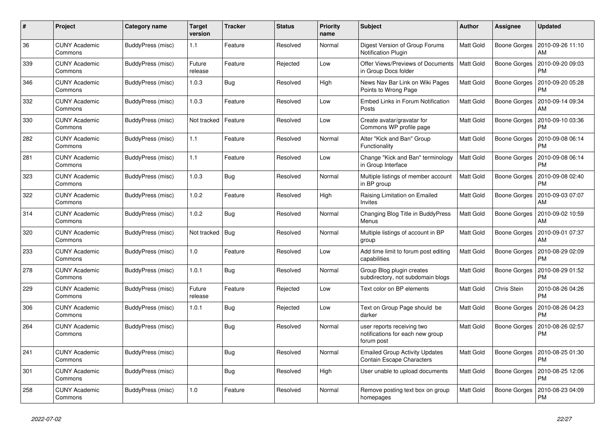| #   | Project                         | Category name     | <b>Target</b><br>version | <b>Tracker</b> | <b>Status</b> | <b>Priority</b><br>name | <b>Subject</b>                                                               | <b>Author</b>    | Assignee            | <b>Updated</b>                |
|-----|---------------------------------|-------------------|--------------------------|----------------|---------------|-------------------------|------------------------------------------------------------------------------|------------------|---------------------|-------------------------------|
| 36  | <b>CUNY Academic</b><br>Commons | BuddyPress (misc) | 1.1                      | Feature        | Resolved      | Normal                  | Digest Version of Group Forums<br>Notification Plugin                        | Matt Gold        | Boone Gorges        | 2010-09-26 11:10<br>AM        |
| 339 | <b>CUNY Academic</b><br>Commons | BuddyPress (misc) | Future<br>release        | Feature        | Rejected      | Low                     | Offer Views/Previews of Documents<br>in Group Docs folder                    | <b>Matt Gold</b> | <b>Boone Gorges</b> | 2010-09-20 09:03<br><b>PM</b> |
| 346 | CUNY Academic<br>Commons        | BuddyPress (misc) | 1.0.3                    | Bug            | Resolved      | High                    | News Nav Bar Link on Wiki Pages<br>Points to Wrong Page                      | Matt Gold        | Boone Gorges        | 2010-09-20 05:28<br>PM        |
| 332 | <b>CUNY Academic</b><br>Commons | BuddyPress (misc) | 1.0.3                    | Feature        | Resolved      | Low                     | Embed Links in Forum Notification<br>Posts                                   | Matt Gold        | Boone Gorges        | 2010-09-14 09:34<br>AM        |
| 330 | <b>CUNY Academic</b><br>Commons | BuddyPress (misc) | Not tracked              | Feature        | Resolved      | Low                     | Create avatar/gravatar for<br>Commons WP profile page                        | Matt Gold        | Boone Gorges        | 2010-09-10 03:36<br>PM        |
| 282 | <b>CUNY Academic</b><br>Commons | BuddyPress (misc) | 1.1                      | Feature        | Resolved      | Normal                  | Alter "Kick and Ban" Group<br>Functionality                                  | Matt Gold        | Boone Gorges        | 2010-09-08 06:14<br><b>PM</b> |
| 281 | <b>CUNY Academic</b><br>Commons | BuddyPress (misc) | 1.1                      | Feature        | Resolved      | Low                     | Change "Kick and Ban" terminology<br>in Group Interface                      | <b>Matt Gold</b> | Boone Gorges        | 2010-09-08 06:14<br><b>PM</b> |
| 323 | <b>CUNY Academic</b><br>Commons | BuddyPress (misc) | 1.0.3                    | Bug            | Resolved      | Normal                  | Multiple listings of member account<br>in BP group                           | Matt Gold        | Boone Gorges        | 2010-09-08 02:40<br><b>PM</b> |
| 322 | <b>CUNY Academic</b><br>Commons | BuddyPress (misc) | 1.0.2                    | Feature        | Resolved      | High                    | Raising Limitation on Emailed<br>Invites                                     | Matt Gold        | Boone Gorges        | 2010-09-03 07:07<br>AM        |
| 314 | <b>CUNY Academic</b><br>Commons | BuddyPress (misc) | 1.0.2                    | Bug            | Resolved      | Normal                  | Changing Blog Title in BuddyPress<br>Menus                                   | Matt Gold        | Boone Gorges        | 2010-09-02 10:59<br>AM        |
| 320 | <b>CUNY Academic</b><br>Commons | BuddyPress (misc) | Not tracked              | Bug            | Resolved      | Normal                  | Multiple listings of account in BP<br>group                                  | Matt Gold        | Boone Gorges        | 2010-09-01 07:37<br>AM        |
| 233 | <b>CUNY Academic</b><br>Commons | BuddyPress (misc) | 1.0                      | Feature        | Resolved      | Low                     | Add time limit to forum post editing<br>capabilities                         | Matt Gold        | Boone Gorges        | 2010-08-29 02:09<br><b>PM</b> |
| 278 | <b>CUNY Academic</b><br>Commons | BuddyPress (misc) | 1.0.1                    | Bug            | Resolved      | Normal                  | Group Blog plugin creates<br>subdirectory, not subdomain blogs               | Matt Gold        | Boone Gorges        | 2010-08-29 01:52<br><b>PM</b> |
| 229 | <b>CUNY Academic</b><br>Commons | BuddyPress (misc) | Future<br>release        | Feature        | Rejected      | Low                     | Text color on BP elements                                                    | Matt Gold        | Chris Stein         | 2010-08-26 04:26<br><b>PM</b> |
| 306 | <b>CUNY Academic</b><br>Commons | BuddyPress (misc) | 1.0.1                    | Bug            | Rejected      | Low                     | Text on Group Page should be<br>darker                                       | Matt Gold        | <b>Boone Gorges</b> | 2010-08-26 04:23<br><b>PM</b> |
| 264 | <b>CUNY Academic</b><br>Commons | BuddyPress (misc) |                          | Bug            | Resolved      | Normal                  | user reports receiving two<br>notifications for each new group<br>forum post | Matt Gold        | Boone Gorges        | 2010-08-26 02:57<br><b>PM</b> |
| 241 | <b>CUNY Academic</b><br>Commons | BuddyPress (misc) |                          | Bug            | Resolved      | Normal                  | <b>Emailed Group Activity Updates</b><br>Contain Escape Characters           | Matt Gold        | Boone Gorges        | 2010-08-25 01:30<br><b>PM</b> |
| 301 | <b>CUNY Academic</b><br>Commons | BuddyPress (misc) |                          | Bug            | Resolved      | High                    | User unable to upload documents                                              | <b>Matt Gold</b> | Boone Gorges        | 2010-08-25 12:06<br><b>PM</b> |
| 258 | <b>CUNY Academic</b><br>Commons | BuddyPress (misc) | 1.0                      | Feature        | Resolved      | Normal                  | Remove posting text box on group<br>homepages                                | Matt Gold        | <b>Boone Gorges</b> | 2010-08-23 04:09<br><b>PM</b> |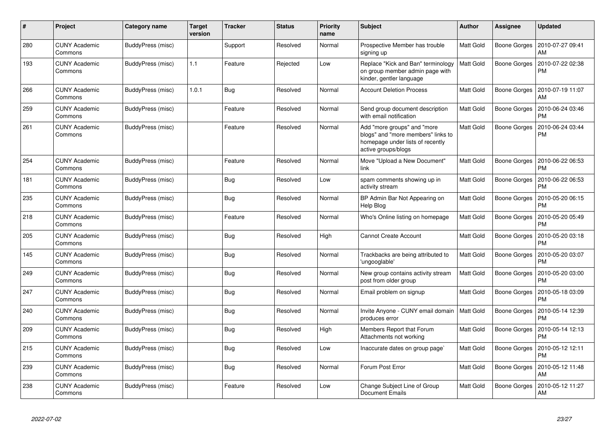| $\#$ | Project                         | Category name     | <b>Target</b><br>version | <b>Tracker</b> | <b>Status</b> | <b>Priority</b><br>name | <b>Subject</b>                                                                                                               | <b>Author</b>    | Assignee            | <b>Updated</b>                |
|------|---------------------------------|-------------------|--------------------------|----------------|---------------|-------------------------|------------------------------------------------------------------------------------------------------------------------------|------------------|---------------------|-------------------------------|
| 280  | <b>CUNY Academic</b><br>Commons | BuddyPress (misc) |                          | Support        | Resolved      | Normal                  | Prospective Member has trouble<br>signing up                                                                                 | <b>Matt Gold</b> | Boone Gorges        | 2010-07-27 09:41<br>AM        |
| 193  | CUNY Academic<br>Commons        | BuddyPress (misc) | 1.1                      | Feature        | Rejected      | Low                     | Replace "Kick and Ban" terminology<br>on group member admin page with<br>kinder, gentler language                            | <b>Matt Gold</b> | Boone Gorges        | 2010-07-22 02:38<br><b>PM</b> |
| 266  | <b>CUNY Academic</b><br>Commons | BuddyPress (misc) | 1.0.1                    | Bug            | Resolved      | Normal                  | <b>Account Deletion Process</b>                                                                                              | <b>Matt Gold</b> | Boone Gorges        | 2010-07-19 11:07<br>AM        |
| 259  | <b>CUNY Academic</b><br>Commons | BuddyPress (misc) |                          | Feature        | Resolved      | Normal                  | Send group document description<br>with email notification                                                                   | <b>Matt Gold</b> | Boone Gorges        | 2010-06-24 03:46<br><b>PM</b> |
| 261  | CUNY Academic<br>Commons        | BuddyPress (misc) |                          | Feature        | Resolved      | Normal                  | Add "more groups" and "more<br>blogs" and "more members" links to<br>homepage under lists of recently<br>active groups/blogs | Matt Gold        | Boone Gorges        | 2010-06-24 03:44<br><b>PM</b> |
| 254  | <b>CUNY Academic</b><br>Commons | BuddyPress (misc) |                          | Feature        | Resolved      | Normal                  | Move "Upload a New Document"<br>link                                                                                         | <b>Matt Gold</b> | Boone Gorges        | 2010-06-22 06:53<br><b>PM</b> |
| 181  | <b>CUNY Academic</b><br>Commons | BuddyPress (misc) |                          | Bug            | Resolved      | Low                     | spam comments showing up in<br>activity stream                                                                               | <b>Matt Gold</b> | Boone Gorges        | 2010-06-22 06:53<br><b>PM</b> |
| 235  | <b>CUNY Academic</b><br>Commons | BuddyPress (misc) |                          | Bug            | Resolved      | Normal                  | BP Admin Bar Not Appearing on<br>Help Blog                                                                                   | <b>Matt Gold</b> | <b>Boone Gorges</b> | 2010-05-20 06:15<br><b>PM</b> |
| 218  | <b>CUNY Academic</b><br>Commons | BuddyPress (misc) |                          | Feature        | Resolved      | Normal                  | Who's Online listing on homepage                                                                                             | <b>Matt Gold</b> | Boone Gorges        | 2010-05-20 05:49<br><b>PM</b> |
| 205  | <b>CUNY Academic</b><br>Commons | BuddyPress (misc) |                          | <b>Bug</b>     | Resolved      | High                    | <b>Cannot Create Account</b>                                                                                                 | Matt Gold        | Boone Gorges        | 2010-05-20 03:18<br><b>PM</b> |
| 145  | <b>CUNY Academic</b><br>Commons | BuddyPress (misc) |                          | <b>Bug</b>     | Resolved      | Normal                  | Trackbacks are being attributed to<br>'ungooglable'                                                                          | <b>Matt Gold</b> | Boone Gorges        | 2010-05-20 03:07<br><b>PM</b> |
| 249  | <b>CUNY Academic</b><br>Commons | BuddyPress (misc) |                          | <b>Bug</b>     | Resolved      | Normal                  | New group contains activity stream<br>post from older group                                                                  | Matt Gold        | Boone Gorges        | 2010-05-20 03:00<br><b>PM</b> |
| 247  | <b>CUNY Academic</b><br>Commons | BuddyPress (misc) |                          | Bug            | Resolved      | Normal                  | Email problem on signup                                                                                                      | Matt Gold        | Boone Gorges        | 2010-05-18 03:09<br><b>PM</b> |
| 240  | CUNY Academic<br>Commons        | BuddyPress (misc) |                          | Bug            | Resolved      | Normal                  | Invite Anyone - CUNY email domain<br>produces error                                                                          | Matt Gold        | Boone Gorges        | 2010-05-14 12:39<br><b>PM</b> |
| 209  | <b>CUNY Academic</b><br>Commons | BuddyPress (misc) |                          | <b>Bug</b>     | Resolved      | High                    | Members Report that Forum<br>Attachments not working                                                                         | Matt Gold        | Boone Gorges        | 2010-05-14 12:13<br><b>PM</b> |
| 215  | <b>CUNY Academic</b><br>Commons | BuddyPress (misc) |                          | Bug            | Resolved      | Low                     | Inaccurate dates on group page`                                                                                              | Matt Gold        | Boone Gorges        | 2010-05-12 12:11<br><b>PM</b> |
| 239  | <b>CUNY Academic</b><br>Commons | BuddyPress (misc) |                          | Bug            | Resolved      | Normal                  | Forum Post Error                                                                                                             | <b>Matt Gold</b> | Boone Gorges        | 2010-05-12 11:48<br>AM        |
| 238  | CUNY Academic<br>Commons        | BuddyPress (misc) |                          | Feature        | Resolved      | Low                     | Change Subject Line of Group<br><b>Document Emails</b>                                                                       | <b>Matt Gold</b> | Boone Gorges        | 2010-05-12 11:27<br>AM        |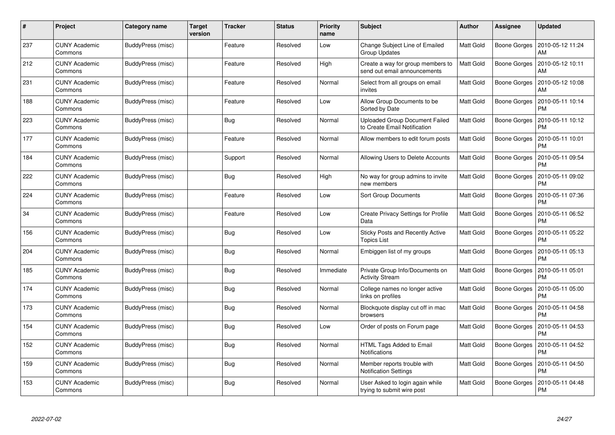| #   | Project                         | Category name     | <b>Target</b><br>version | Tracker    | <b>Status</b> | <b>Priority</b><br>name | <b>Subject</b>                                                    | <b>Author</b>    | Assignee            | <b>Updated</b>                |
|-----|---------------------------------|-------------------|--------------------------|------------|---------------|-------------------------|-------------------------------------------------------------------|------------------|---------------------|-------------------------------|
| 237 | <b>CUNY Academic</b><br>Commons | BuddyPress (misc) |                          | Feature    | Resolved      | Low                     | Change Subject Line of Emailed<br><b>Group Updates</b>            | Matt Gold        | Boone Gorges        | 2010-05-12 11:24<br>AM        |
| 212 | <b>CUNY Academic</b><br>Commons | BuddyPress (misc) |                          | Feature    | Resolved      | High                    | Create a way for group members to<br>send out email announcements | Matt Gold        | Boone Gorges        | 2010-05-12 10:11<br>AM        |
| 231 | <b>CUNY Academic</b><br>Commons | BuddyPress (misc) |                          | Feature    | Resolved      | Normal                  | Select from all groups on email<br>invites                        | Matt Gold        | Boone Gorges        | 2010-05-12 10:08<br>AM        |
| 188 | <b>CUNY Academic</b><br>Commons | BuddyPress (misc) |                          | Feature    | Resolved      | Low                     | Allow Group Documents to be<br>Sorted by Date                     | Matt Gold        | Boone Gorges        | 2010-05-11 10:14<br>PM        |
| 223 | <b>CUNY Academic</b><br>Commons | BuddyPress (misc) |                          | <b>Bug</b> | Resolved      | Normal                  | Uploaded Group Document Failed<br>to Create Email Notification    | Matt Gold        | Boone Gorges        | 2010-05-11 10:12<br>PM        |
| 177 | <b>CUNY Academic</b><br>Commons | BuddyPress (misc) |                          | Feature    | Resolved      | Normal                  | Allow members to edit forum posts                                 | Matt Gold        | Boone Gorges        | 2010-05-11 10:01<br>РM        |
| 184 | <b>CUNY Academic</b><br>Commons | BuddyPress (misc) |                          | Support    | Resolved      | Normal                  | Allowing Users to Delete Accounts                                 | Matt Gold        | <b>Boone Gorges</b> | 2010-05-11 09:54<br><b>PM</b> |
| 222 | <b>CUNY Academic</b><br>Commons | BuddyPress (misc) |                          | <b>Bug</b> | Resolved      | High                    | No way for group admins to invite<br>new members                  | Matt Gold        | Boone Gorges        | 2010-05-11 09:02<br><b>PM</b> |
| 224 | <b>CUNY Academic</b><br>Commons | BuddyPress (misc) |                          | Feature    | Resolved      | Low                     | <b>Sort Group Documents</b>                                       | <b>Matt Gold</b> | Boone Gorges        | 2010-05-11 07:36<br>PM        |
| 34  | <b>CUNY Academic</b><br>Commons | BuddyPress (misc) |                          | Feature    | Resolved      | Low                     | <b>Create Privacy Settings for Profile</b><br>Data                | Matt Gold        | Boone Gorges        | 2010-05-11 06:52<br><b>PM</b> |
| 156 | <b>CUNY Academic</b><br>Commons | BuddyPress (misc) |                          | <b>Bug</b> | Resolved      | Low                     | <b>Sticky Posts and Recently Active</b><br><b>Topics List</b>     | Matt Gold        | Boone Gorges        | 2010-05-11 05:22<br>PM        |
| 204 | <b>CUNY Academic</b><br>Commons | BuddyPress (misc) |                          | Bug        | Resolved      | Normal                  | Embiggen list of my groups                                        | Matt Gold        | Boone Gorges        | 2010-05-11 05:13<br>PM        |
| 185 | <b>CUNY Academic</b><br>Commons | BuddyPress (misc) |                          | <b>Bug</b> | Resolved      | Immediate               | Private Group Info/Documents on<br><b>Activity Stream</b>         | Matt Gold        | Boone Gorges        | 2010-05-11 05:01<br><b>PM</b> |
| 174 | <b>CUNY Academic</b><br>Commons | BuddyPress (misc) |                          | Bug        | Resolved      | Normal                  | College names no longer active<br>links on profiles               | Matt Gold        | Boone Gorges        | 2010-05-11 05:00<br>РM        |
| 173 | <b>CUNY Academic</b><br>Commons | BuddyPress (misc) |                          | Bug        | Resolved      | Normal                  | Blockquote display cut off in mac<br>browsers                     | Matt Gold        | Boone Gorges        | 2010-05-11 04:58<br>PM        |
| 154 | <b>CUNY Academic</b><br>Commons | BuddyPress (misc) |                          | Bug        | Resolved      | Low                     | Order of posts on Forum page                                      | Matt Gold        | Boone Gorges        | 2010-05-11 04:53<br>PM        |
| 152 | <b>CUNY Academic</b><br>Commons | BuddyPress (misc) |                          | <b>Bug</b> | Resolved      | Normal                  | HTML Tags Added to Email<br>Notifications                         | Matt Gold        | Boone Gorges        | 2010-05-11 04:52<br>PM        |
| 159 | <b>CUNY Academic</b><br>Commons | BuddyPress (misc) |                          | Bug        | Resolved      | Normal                  | Member reports trouble with<br><b>Notification Settings</b>       | Matt Gold        | Boone Gorges        | 2010-05-11 04:50<br>PM        |
| 153 | <b>CUNY Academic</b><br>Commons | BuddyPress (misc) |                          | <b>Bug</b> | Resolved      | Normal                  | User Asked to login again while<br>trying to submit wire post     | Matt Gold        | <b>Boone Gorges</b> | 2010-05-11 04:48<br>PM        |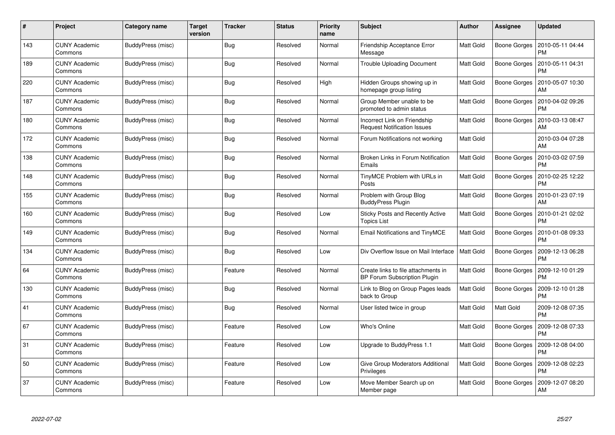| #   | Project                         | Category name     | <b>Target</b><br>version | Tracker    | <b>Status</b> | <b>Priority</b><br>name | <b>Subject</b>                                                             | <b>Author</b>    | <b>Assignee</b>     | <b>Updated</b>                |
|-----|---------------------------------|-------------------|--------------------------|------------|---------------|-------------------------|----------------------------------------------------------------------------|------------------|---------------------|-------------------------------|
| 143 | <b>CUNY Academic</b><br>Commons | BuddyPress (misc) |                          | <b>Bug</b> | Resolved      | Normal                  | Friendship Acceptance Error<br>Message                                     | <b>Matt Gold</b> | Boone Gorges        | 2010-05-11 04:44<br><b>PM</b> |
| 189 | <b>CUNY Academic</b><br>Commons | BuddyPress (misc) |                          | Bug        | Resolved      | Normal                  | <b>Trouble Uploading Document</b>                                          | <b>Matt Gold</b> | Boone Gorges        | 2010-05-11 04:31<br><b>PM</b> |
| 220 | <b>CUNY Academic</b><br>Commons | BuddyPress (misc) |                          | <b>Bug</b> | Resolved      | High                    | Hidden Groups showing up in<br>homepage group listing                      | <b>Matt Gold</b> | Boone Gorges        | 2010-05-07 10:30<br>AM        |
| 187 | <b>CUNY Academic</b><br>Commons | BuddyPress (misc) |                          | <b>Bug</b> | Resolved      | Normal                  | Group Member unable to be<br>promoted to admin status                      | Matt Gold        | Boone Gorges        | 2010-04-02 09:26<br>PM        |
| 180 | <b>CUNY Academic</b><br>Commons | BuddyPress (misc) |                          | <b>Bug</b> | Resolved      | Normal                  | Incorrect Link on Friendship<br><b>Request Notification Issues</b>         | <b>Matt Gold</b> | Boone Gorges        | 2010-03-13 08:47<br>AM        |
| 172 | <b>CUNY Academic</b><br>Commons | BuddyPress (misc) |                          | Bug        | Resolved      | Normal                  | Forum Notifications not working                                            | Matt Gold        |                     | 2010-03-04 07:28<br>AM        |
| 138 | <b>CUNY Academic</b><br>Commons | BuddyPress (misc) |                          | Bug        | Resolved      | Normal                  | Broken Links in Forum Notification<br>Emails                               | Matt Gold        | <b>Boone Gorges</b> | 2010-03-02 07:59<br><b>PM</b> |
| 148 | <b>CUNY Academic</b><br>Commons | BuddyPress (misc) |                          | <b>Bug</b> | Resolved      | Normal                  | TinyMCE Problem with URLs in<br>Posts                                      | Matt Gold        | Boone Gorges        | 2010-02-25 12:22<br><b>PM</b> |
| 155 | <b>CUNY Academic</b><br>Commons | BuddyPress (misc) |                          | Bug        | Resolved      | Normal                  | Problem with Group Blog<br><b>BuddyPress Plugin</b>                        | Matt Gold        | Boone Gorges        | 2010-01-23 07:19<br>AM        |
| 160 | <b>CUNY Academic</b><br>Commons | BuddyPress (misc) |                          | Bug        | Resolved      | Low                     | Sticky Posts and Recently Active<br><b>Topics List</b>                     | Matt Gold        | Boone Gorges        | 2010-01-21 02:02<br><b>PM</b> |
| 149 | <b>CUNY Academic</b><br>Commons | BuddyPress (misc) |                          | Bug        | Resolved      | Normal                  | <b>Email Notifications and TinyMCE</b>                                     | Matt Gold        | Boone Gorges        | 2010-01-08 09:33<br><b>PM</b> |
| 134 | <b>CUNY Academic</b><br>Commons | BuddyPress (misc) |                          | Bug        | Resolved      | Low                     | Div Overflow Issue on Mail Interface                                       | Matt Gold        | Boone Gorges        | 2009-12-13 06:28<br><b>PM</b> |
| 64  | <b>CUNY Academic</b><br>Commons | BuddyPress (misc) |                          | Feature    | Resolved      | Normal                  | Create links to file attachments in<br><b>BP Forum Subscription Plugin</b> | <b>Matt Gold</b> | Boone Gorges        | 2009-12-10 01:29<br><b>PM</b> |
| 130 | <b>CUNY Academic</b><br>Commons | BuddyPress (misc) |                          | <b>Bug</b> | Resolved      | Normal                  | Link to Blog on Group Pages leads<br>back to Group                         | Matt Gold        | <b>Boone Gorges</b> | 2009-12-10 01:28<br><b>PM</b> |
| 41  | <b>CUNY Academic</b><br>Commons | BuddyPress (misc) |                          | <b>Bug</b> | Resolved      | Normal                  | User listed twice in group                                                 | <b>Matt Gold</b> | Matt Gold           | 2009-12-08 07:35<br><b>PM</b> |
| 67  | <b>CUNY Academic</b><br>Commons | BuddyPress (misc) |                          | Feature    | Resolved      | Low                     | Who's Online                                                               | Matt Gold        | <b>Boone Gorges</b> | 2009-12-08 07:33<br><b>PM</b> |
| 31  | <b>CUNY Academic</b><br>Commons | BuddyPress (misc) |                          | Feature    | Resolved      | Low                     | Upgrade to BuddyPress 1.1                                                  | <b>Matt Gold</b> | Boone Gorges        | 2009-12-08 04:00<br><b>PM</b> |
| 50  | <b>CUNY Academic</b><br>Commons | BuddyPress (misc) |                          | Feature    | Resolved      | Low                     | Give Group Moderators Additional<br>Privileges                             | Matt Gold        | <b>Boone Gorges</b> | 2009-12-08 02:23<br><b>PM</b> |
| 37  | CUNY Academic<br>Commons        | BuddyPress (misc) |                          | Feature    | Resolved      | Low                     | Move Member Search up on<br>Member page                                    | Matt Gold        | Boone Gorges        | 2009-12-07 08:20<br>AM        |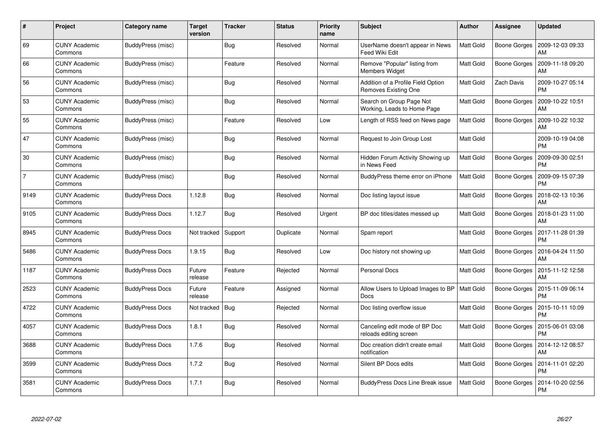| #              | Project                         | Category name          | <b>Target</b><br>version | Tracker    | <b>Status</b> | <b>Priority</b><br>name | <b>Subject</b>                                             | <b>Author</b>    | <b>Assignee</b>     | <b>Updated</b>                |
|----------------|---------------------------------|------------------------|--------------------------|------------|---------------|-------------------------|------------------------------------------------------------|------------------|---------------------|-------------------------------|
| 69             | <b>CUNY Academic</b><br>Commons | BuddyPress (misc)      |                          | <b>Bug</b> | Resolved      | Normal                  | UserName doesn't appear in News<br><b>Feed Wiki Edit</b>   | Matt Gold        | <b>Boone Gorges</b> | 2009-12-03 09:33<br>AM        |
| 66             | <b>CUNY Academic</b><br>Commons | BuddyPress (misc)      |                          | Feature    | Resolved      | Normal                  | Remove "Popular" listing from<br><b>Members Widget</b>     | Matt Gold        | Boone Gorges        | 2009-11-18 09:20<br>AM        |
| 56             | <b>CUNY Academic</b><br>Commons | BuddyPress (misc)      |                          | <b>Bug</b> | Resolved      | Normal                  | Addition of a Profile Field Option<br>Removes Existing One | <b>Matt Gold</b> | Zach Davis          | 2009-10-27 05:14<br><b>PM</b> |
| 53             | <b>CUNY Academic</b><br>Commons | BuddyPress (misc)      |                          | <b>Bug</b> | Resolved      | Normal                  | Search on Group Page Not<br>Working, Leads to Home Page    | Matt Gold        | Boone Gorges        | 2009-10-22 10:51<br>AM        |
| 55             | <b>CUNY Academic</b><br>Commons | BuddyPress (misc)      |                          | Feature    | Resolved      | Low                     | Length of RSS feed on News page                            | Matt Gold        | <b>Boone Gorges</b> | 2009-10-22 10:32<br>AM        |
| 47             | <b>CUNY Academic</b><br>Commons | BuddyPress (misc)      |                          | Bug        | Resolved      | Normal                  | Request to Join Group Lost                                 | Matt Gold        |                     | 2009-10-19 04:08<br><b>PM</b> |
| 30             | <b>CUNY Academic</b><br>Commons | BuddyPress (misc)      |                          | Bug        | Resolved      | Normal                  | Hidden Forum Activity Showing up<br>in News Feed           | Matt Gold        | <b>Boone Gorges</b> | 2009-09-30 02:51<br><b>PM</b> |
| $\overline{7}$ | <b>CUNY Academic</b><br>Commons | BuddyPress (misc)      |                          | Bug        | Resolved      | Normal                  | BuddyPress theme error on iPhone                           | Matt Gold        | Boone Gorges        | 2009-09-15 07:39<br><b>PM</b> |
| 9149           | <b>CUNY Academic</b><br>Commons | <b>BuddyPress Docs</b> | 1.12.8                   | Bug        | Resolved      | Normal                  | Doc listing layout issue                                   | <b>Matt Gold</b> | Boone Gorges        | 2018-02-13 10:36<br>AM        |
| 9105           | <b>CUNY Academic</b><br>Commons | <b>BuddyPress Docs</b> | 1.12.7                   | <b>Bug</b> | Resolved      | Urgent                  | BP doc titles/dates messed up                              | Matt Gold        | Boone Gorges        | 2018-01-23 11:00<br>AM        |
| 8945           | <b>CUNY Academic</b><br>Commons | <b>BuddyPress Docs</b> | Not tracked              | Support    | Duplicate     | Normal                  | Spam report                                                | <b>Matt Gold</b> | Boone Gorges        | 2017-11-28 01:39<br><b>PM</b> |
| 5486           | <b>CUNY Academic</b><br>Commons | <b>BuddyPress Docs</b> | 1.9.15                   | <b>Bug</b> | Resolved      | Low                     | Doc history not showing up                                 | Matt Gold        | Boone Gorges        | 2016-04-24 11:50<br>AM        |
| 1187           | <b>CUNY Academic</b><br>Commons | <b>BuddyPress Docs</b> | Future<br>release        | Feature    | Rejected      | Normal                  | <b>Personal Docs</b>                                       | <b>Matt Gold</b> | Boone Gorges        | 2015-11-12 12:58<br>AM        |
| 2523           | <b>CUNY Academic</b><br>Commons | <b>BuddyPress Docs</b> | Future<br>release        | Feature    | Assigned      | Normal                  | Allow Users to Upload Images to BP<br><b>Docs</b>          | Matt Gold        | Boone Gorges        | 2015-11-09 06:14<br>PM        |
| 4722           | <b>CUNY Academic</b><br>Commons | <b>BuddyPress Docs</b> | Not tracked              | <b>Bug</b> | Rejected      | Normal                  | Doc listing overflow issue                                 | <b>Matt Gold</b> | Boone Gorges        | 2015-10-11 10:09<br><b>PM</b> |
| 4057           | <b>CUNY Academic</b><br>Commons | <b>BuddyPress Docs</b> | 1.8.1                    | Bug        | Resolved      | Normal                  | Canceling edit mode of BP Doc<br>reloads editing screen    | Matt Gold        | <b>Boone Gorges</b> | 2015-06-01 03:08<br><b>PM</b> |
| 3688           | <b>CUNY Academic</b><br>Commons | <b>BuddyPress Docs</b> | 1.7.6                    | Bug        | Resolved      | Normal                  | Doc creation didn't create email<br>notification           | Matt Gold        | Boone Gorges        | 2014-12-12 08:57<br>AM        |
| 3599           | <b>CUNY Academic</b><br>Commons | <b>BuddyPress Docs</b> | 1.7.2                    | <b>Bug</b> | Resolved      | Normal                  | Silent BP Docs edits                                       | Matt Gold        | Boone Gorges        | 2014-11-01 02:20<br><b>PM</b> |
| 3581           | CUNY Academic<br>Commons        | <b>BuddyPress Docs</b> | 1.7.1                    | <b>Bug</b> | Resolved      | Normal                  | BuddyPress Docs Line Break issue                           | Matt Gold        | Boone Gorges        | 2014-10-20 02:56<br><b>PM</b> |